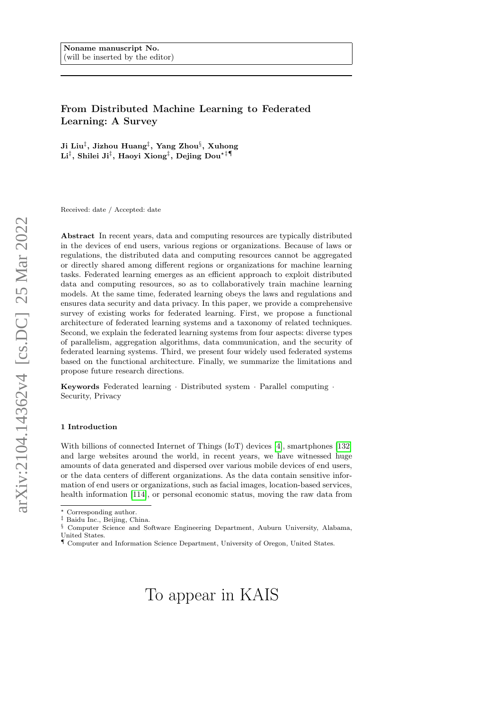## From Distributed Machine Learning to Federated Learning: A Survey

Ji Liu $^\ddagger,$  Jizhou Huang $^\ddagger,$  Yang Zhou $^\S,$  Xuhong  ${\rm Li}^\ddag,$  Shilei  ${\rm Ji}^\ddag,$  Haoyi Xiong $^\ddag,$  Dejing Dou $^{\star\ddag}$ ¶

Received: date / Accepted: date

Abstract In recent years, data and computing resources are typically distributed in the devices of end users, various regions or organizations. Because of laws or regulations, the distributed data and computing resources cannot be aggregated or directly shared among different regions or organizations for machine learning tasks. Federated learning emerges as an efficient approach to exploit distributed data and computing resources, so as to collaboratively train machine learning models. At the same time, federated learning obeys the laws and regulations and ensures data security and data privacy. In this paper, we provide a comprehensive survey of existing works for federated learning. First, we propose a functional architecture of federated learning systems and a taxonomy of related techniques. Second, we explain the federated learning systems from four aspects: diverse types of parallelism, aggregation algorithms, data communication, and the security of federated learning systems. Third, we present four widely used federated systems based on the functional architecture. Finally, we summarize the limitations and propose future research directions.

Keywords Federated learning · Distributed system · Parallel computing · Security, Privacy

#### 1 Introduction

With billions of connected Internet of Things (IoT) devices [\[4\]](#page-25-0), smartphones [\[132\]](#page-31-0) and large websites around the world, in recent years, we have witnessed huge amounts of data generated and dispersed over various mobile devices of end users, or the data centers of different organizations. As the data contain sensitive information of end users or organizations, such as facial images, location-based services, health information [\[114\]](#page-30-0), or personal economic status, moving the raw data from

# To appear in KAIS

<sup>\*</sup> Corresponding author.<br> $\frac{1}{k}$  Poidy Inc. Poiiing Cl

Baidu Inc., Beijing, China.

<sup>§</sup> Computer Science and Software Engineering Department, Auburn University, Alabama, United States.

<sup>¶</sup> Computer and Information Science Department, University of Oregon, United States.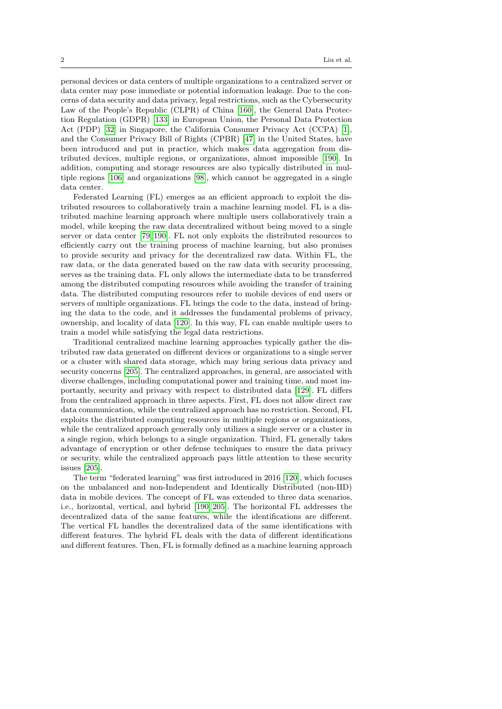personal devices or data centers of multiple organizations to a centralized server or data center may pose immediate or potential information leakage. Due to the concerns of data security and data privacy, legal restrictions, such as the Cybersecurity Law of the People's Republic (CLPR) of China [\[160\]](#page-32-0), the General Data Protection Regulation (GDPR) [\[133\]](#page-31-1) in European Union, the Personal Data Protection Act (PDP) [\[32\]](#page-26-0) in Singapore, the California Consumer Privacy Act (CCPA) [\[1\]](#page-25-1), and the Consumer Privacy Bill of Rights (CPBR) [\[47\]](#page-27-0) in the United States, have been introduced and put in practice, which makes data aggregation from distributed devices, multiple regions, or organizations, almost impossible [\[190\]](#page-34-0). In addition, computing and storage resources are also typically distributed in multiple regions [\[106\]](#page-30-1) and organizations [\[98\]](#page-29-0), which cannot be aggregated in a single data center.

Federated Learning (FL) emerges as an efficient approach to exploit the distributed resources to collaboratively train a machine learning model. FL is a distributed machine learning approach where multiple users collaboratively train a model, while keeping the raw data decentralized without being moved to a single server or data center [\[79,](#page-28-0) [190\]](#page-34-0). FL not only exploits the distributed resources to efficiently carry out the training process of machine learning, but also promises to provide security and privacy for the decentralized raw data. Within FL, the raw data, or the data generated based on the raw data with security processing, serves as the training data. FL only allows the intermediate data to be transferred among the distributed computing resources while avoiding the transfer of training data. The distributed computing resources refer to mobile devices of end users or servers of multiple organizations. FL brings the code to the data, instead of bringing the data to the code, and it addresses the fundamental problems of privacy, ownership, and locality of data [\[120\]](#page-30-2). In this way, FL can enable multiple users to train a model while satisfying the legal data restrictions.

Traditional centralized machine learning approaches typically gather the distributed raw data generated on different devices or organizations to a single server or a cluster with shared data storage, which may bring serious data privacy and security concerns [\[205\]](#page-35-0). The centralized approaches, in general, are associated with diverse challenges, including computational power and training time, and most importantly, security and privacy with respect to distributed data [\[129\]](#page-31-2). FL differs from the centralized approach in three aspects. First, FL does not allow direct raw data communication, while the centralized approach has no restriction. Second, FL exploits the distributed computing resources in multiple regions or organizations, while the centralized approach generally only utilizes a single server or a cluster in a single region, which belongs to a single organization. Third, FL generally takes advantage of encryption or other defense techniques to ensure the data privacy or security, while the centralized approach pays little attention to these security issues [\[205\]](#page-35-0).

The term "federated learning" was first introduced in 2016 [\[120\]](#page-30-2), which focuses on the unbalanced and non-Independent and Identically Distributed (non-IID) data in mobile devices. The concept of FL was extended to three data scenarios, i.e., horizontal, vertical, and hybrid [\[190,](#page-34-0) [205\]](#page-35-0). The horizontal FL addresses the decentralized data of the same features, while the identifications are different. The vertical FL handles the decentralized data of the same identifications with different features. The hybrid FL deals with the data of different identifications and different features. Then, FL is formally defined as a machine learning approach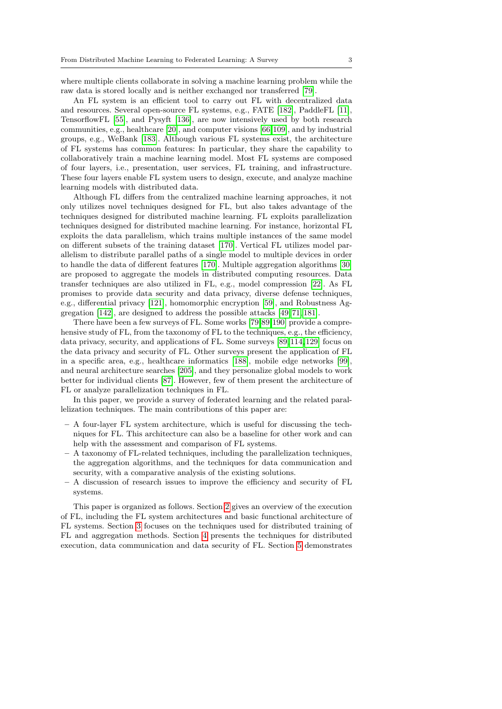where multiple clients collaborate in solving a machine learning problem while the raw data is stored locally and is neither exchanged nor transferred [\[79\]](#page-28-0).

An FL system is an efficient tool to carry out FL with decentralized data and resources. Several open-source FL systems, e.g., FATE [\[182\]](#page-33-0), PaddleFL [\[11\]](#page-25-2), TensorflowFL [\[55\]](#page-27-1), and Pysyft [\[136\]](#page-31-3), are now intensively used by both research communities, e.g., healthcare [\[20\]](#page-26-1), and computer visions [\[66,](#page-28-1)[109\]](#page-30-3), and by industrial groups, e.g., WeBank [\[183\]](#page-34-1). Although various FL systems exist, the architecture of FL systems has common features: In particular, they share the capability to collaboratively train a machine learning model. Most FL systems are composed of four layers, i.e., presentation, user services, FL training, and infrastructure. These four layers enable FL system users to design, execute, and analyze machine learning models with distributed data.

Although FL differs from the centralized machine learning approaches, it not only utilizes novel techniques designed for FL, but also takes advantage of the techniques designed for distributed machine learning. FL exploits parallelization techniques designed for distributed machine learning. For instance, horizontal FL exploits the data parallelism, which trains multiple instances of the same model on different subsets of the training dataset [\[170\]](#page-33-1). Vertical FL utilizes model parallelism to distribute parallel paths of a single model to multiple devices in order to handle the data of different features [\[170\]](#page-33-1). Multiple aggregation algorithms [\[30\]](#page-26-2) are proposed to aggregate the models in distributed computing resources. Data transfer techniques are also utilized in FL, e.g., model compression [\[22\]](#page-26-3). As FL promises to provide data security and data privacy, diverse defense techniques, e.g., differential privacy [\[121\]](#page-31-4), homomorphic encryption [\[59\]](#page-27-2), and Robustness Aggregation [\[142\]](#page-32-1), are designed to address the possible attacks [\[49,](#page-27-3) [71,](#page-28-2) [181\]](#page-33-2).

There have been a few surveys of FL. Some works [\[79,](#page-28-0)[89,](#page-29-1)[190\]](#page-34-0) provide a comprehensive study of FL, from the taxonomy of FL to the techniques, e.g., the efficiency, data privacy, security, and applications of FL. Some surveys [\[89,](#page-29-1) [114,](#page-30-0) [129\]](#page-31-2) focus on the data privacy and security of FL. Other surveys present the application of FL in a specific area, e.g., healthcare informatics [\[188\]](#page-34-2), mobile edge networks [\[99\]](#page-29-2), and neural architecture searches [\[205\]](#page-35-0), and they personalize global models to work better for individual clients [\[87\]](#page-29-3). However, few of them present the architecture of FL or analyze parallelization techniques in FL.

In this paper, we provide a survey of federated learning and the related parallelization techniques. The main contributions of this paper are:

- A four-layer FL system architecture, which is useful for discussing the techniques for FL. This architecture can also be a baseline for other work and can help with the assessment and comparison of FL systems.
- A taxonomy of FL-related techniques, including the parallelization techniques, the aggregation algorithms, and the techniques for data communication and security, with a comparative analysis of the existing solutions.
- A discussion of research issues to improve the efficiency and security of FL systems.

This paper is organized as follows. Section [2](#page-3-0) gives an overview of the execution of FL, including the FL system architectures and basic functional architecture of FL systems. Section [3](#page-8-0) focuses on the techniques used for distributed training of FL and aggregation methods. Section [4](#page-17-0) presents the techniques for distributed execution, data communication and data security of FL. Section [5](#page-20-0) demonstrates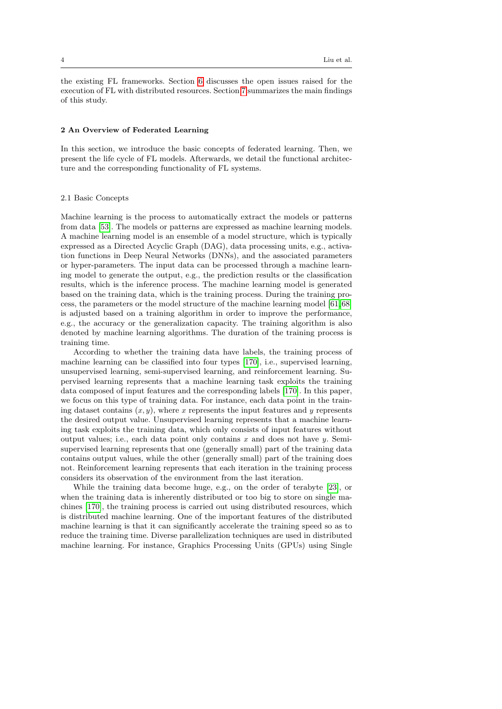the existing FL frameworks. Section [6](#page-22-0) discusses the open issues raised for the execution of FL with distributed resources. Section [7](#page-24-0) summarizes the main findings of this study.

#### <span id="page-3-0"></span>2 An Overview of Federated Learning

In this section, we introduce the basic concepts of federated learning. Then, we present the life cycle of FL models. Afterwards, we detail the functional architecture and the corresponding functionality of FL systems.

## 2.1 Basic Concepts

Machine learning is the process to automatically extract the models or patterns from data [\[53\]](#page-27-4). The models or patterns are expressed as machine learning models. A machine learning model is an ensemble of a model structure, which is typically expressed as a Directed Acyclic Graph (DAG), data processing units, e.g., activation functions in Deep Neural Networks (DNNs), and the associated parameters or hyper-parameters. The input data can be processed through a machine learning model to generate the output, e.g., the prediction results or the classification results, which is the inference process. The machine learning model is generated based on the training data, which is the training process. During the training process, the parameters or the model structure of the machine learning model [\[61,](#page-27-5) [68\]](#page-28-3) is adjusted based on a training algorithm in order to improve the performance, e.g., the accuracy or the generalization capacity. The training algorithm is also denoted by machine learning algorithms. The duration of the training process is training time.

According to whether the training data have labels, the training process of machine learning can be classified into four types [\[170\]](#page-33-1), i.e., supervised learning, unsupervised learning, semi-supervised learning, and reinforcement learning. Supervised learning represents that a machine learning task exploits the training data composed of input features and the corresponding labels [\[170\]](#page-33-1). In this paper, we focus on this type of training data. For instance, each data point in the training dataset contains  $(x, y)$ , where x represents the input features and y represents the desired output value. Unsupervised learning represents that a machine learning task exploits the training data, which only consists of input features without output values; i.e., each data point only contains  $x$  and does not have  $y$ . Semisupervised learning represents that one (generally small) part of the training data contains output values, while the other (generally small) part of the training does not. Reinforcement learning represents that each iteration in the training process considers its observation of the environment from the last iteration.

While the training data become huge, e.g., on the order of terabyte [\[23\]](#page-26-4), or when the training data is inherently distributed or too big to store on single machines [\[170\]](#page-33-1), the training process is carried out using distributed resources, which is distributed machine learning. One of the important features of the distributed machine learning is that it can significantly accelerate the training speed so as to reduce the training time. Diverse parallelization techniques are used in distributed machine learning. For instance, Graphics Processing Units (GPUs) using Single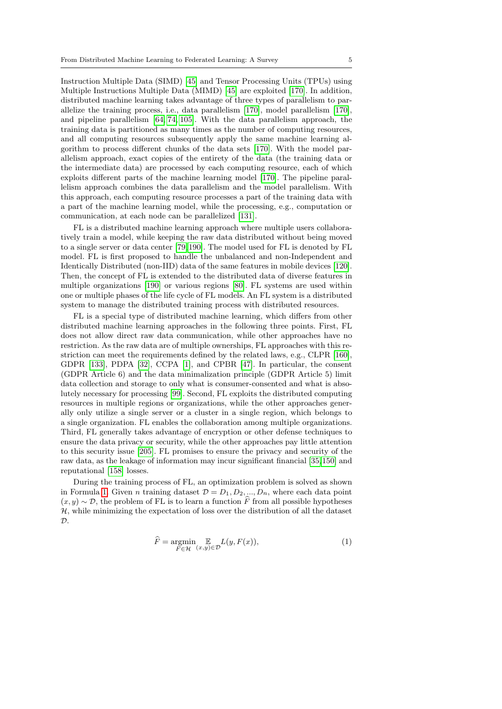Instruction Multiple Data (SIMD) [\[45\]](#page-27-6) and Tensor Processing Units (TPUs) using Multiple Instructions Multiple Data (MIMD) [\[45\]](#page-27-6) are exploited [\[170\]](#page-33-1). In addition, distributed machine learning takes advantage of three types of parallelism to parallelize the training process, i.e., data parallelism [\[170\]](#page-33-1), model parallelism [\[170\]](#page-33-1), and pipeline parallelism [\[64,](#page-28-4) [74,](#page-28-5) [105\]](#page-30-4). With the data parallelism approach, the training data is partitioned as many times as the number of computing resources, and all computing resources subsequently apply the same machine learning algorithm to process different chunks of the data sets [\[170\]](#page-33-1). With the model parallelism approach, exact copies of the entirety of the data (the training data or the intermediate data) are processed by each computing resource, each of which exploits different parts of the machine learning model [\[170\]](#page-33-1). The pipeline parallelism approach combines the data parallelism and the model parallelism. With this approach, each computing resource processes a part of the training data with a part of the machine learning model, while the processing, e.g., computation or communication, at each node can be parallelized [\[131\]](#page-31-5).

FL is a distributed machine learning approach where multiple users collaboratively train a model, while keeping the raw data distributed without being moved to a single server or data center [\[79,](#page-28-0)[190\]](#page-34-0). The model used for FL is denoted by FL model. FL is first proposed to handle the unbalanced and non-Independent and Identically Distributed (non-IID) data of the same features in mobile devices [\[120\]](#page-30-2). Then, the concept of FL is extended to the distributed data of diverse features in multiple organizations [\[190\]](#page-34-0) or various regions [\[80\]](#page-28-6). FL systems are used within one or multiple phases of the life cycle of FL models. An FL system is a distributed system to manage the distributed training process with distributed resources.

FL is a special type of distributed machine learning, which differs from other distributed machine learning approaches in the following three points. First, FL does not allow direct raw data communication, while other approaches have no restriction. As the raw data are of multiple ownerships, FL approaches with this restriction can meet the requirements defined by the related laws, e.g., CLPR [\[160\]](#page-32-0), GDPR [\[133\]](#page-31-1), PDPA [\[32\]](#page-26-0), CCPA [\[1\]](#page-25-1), and CPBR [\[47\]](#page-27-0). In particular, the consent (GDPR Article 6) and the data minimalization principle (GDPR Article 5) limit data collection and storage to only what is consumer-consented and what is absolutely necessary for processing [\[99\]](#page-29-2). Second, FL exploits the distributed computing resources in multiple regions or organizations, while the other approaches generally only utilize a single server or a cluster in a single region, which belongs to a single organization. FL enables the collaboration among multiple organizations. Third, FL generally takes advantage of encryption or other defense techniques to ensure the data privacy or security, while the other approaches pay little attention to this security issue [\[205\]](#page-35-0). FL promises to ensure the privacy and security of the raw data, as the leakage of information may incur significant financial [\[35,](#page-26-5)[150\]](#page-32-2) and reputational [\[158\]](#page-32-3) losses.

During the training process of FL, an optimization problem is solved as shown in Formula [1.](#page-4-0) Given *n* training dataset  $D = D_1, D_2, ..., D_n$ , where each data point  $(x, y) \sim \mathcal{D}$ , the problem of FL is to learn a function  $\hat{F}$  from all possible hypotheses  $H$ , while minimizing the expectation of loss over the distribution of all the dataset  $\mathcal{D}$ .

<span id="page-4-0"></span>
$$
\widehat{F} = \underset{F \in \mathcal{H}}{\operatorname{argmin}} \mathbb{E}_{(x,y) \in \mathcal{D}} L(y, F(x)),\tag{1}
$$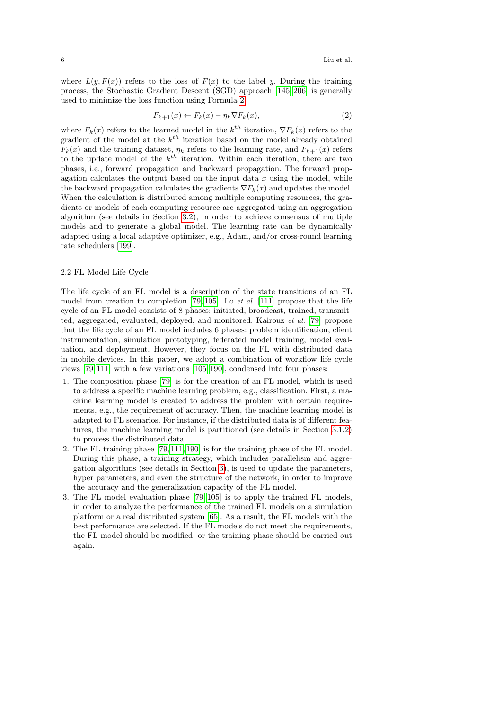where  $L(y, F(x))$  refers to the loss of  $F(x)$  to the label y. During the training process, the Stochastic Gradient Descent (SGD) approach [\[145,](#page-32-4) [206\]](#page-35-1) is generally used to minimize the loss function using Formula [2.](#page-5-0)

<span id="page-5-0"></span>
$$
F_{k+1}(x) \leftarrow F_k(x) - \eta_k \nabla F_k(x),\tag{2}
$$

where  $F_k(x)$  refers to the learned model in the  $k^{th}$  iteration,  $\nabla F_k(x)$  refers to the gradient of the model at the  $k^{th}$  iteration based on the model already obtained  $F_k(x)$  and the training dataset,  $\eta_k$  refers to the learning rate, and  $F_{k+1}(x)$  refers to the update model of the  $k^{th}$  iteration. Within each iteration, there are two phases, i.e., forward propagation and backward propagation. The forward propagation calculates the output based on the input data  $x$  using the model, while the backward propagation calculates the gradients  $\nabla F_k(x)$  and updates the model. When the calculation is distributed among multiple computing resources, the gradients or models of each computing resource are aggregated using an aggregation algorithm (see details in Section [3.2\)](#page-12-0), in order to achieve consensus of multiple models and to generate a global model. The learning rate can be dynamically adapted using a local adaptive optimizer, e.g., Adam, and/or cross-round learning rate schedulers [\[199\]](#page-34-3).

## 2.2 FL Model Life Cycle

The life cycle of an FL model is a description of the state transitions of an FL model from creation to completion [\[79,](#page-28-0) [105\]](#page-30-4). Lo et al. [\[111\]](#page-30-5) propose that the life cycle of an FL model consists of 8 phases: initiated, broadcast, trained, transmitted, aggregated, evaluated, deployed, and monitored. Kairouz et al. [\[79\]](#page-28-0) propose that the life cycle of an FL model includes 6 phases: problem identification, client instrumentation, simulation prototyping, federated model training, model evaluation, and deployment. However, they focus on the FL with distributed data in mobile devices. In this paper, we adopt a combination of workflow life cycle views [\[79,](#page-28-0) [111\]](#page-30-5) with a few variations [\[105,](#page-30-4) [190\]](#page-34-0), condensed into four phases:

- 1. The composition phase [\[79\]](#page-28-0) is for the creation of an FL model, which is used to address a specific machine learning problem, e.g., classification. First, a machine learning model is created to address the problem with certain requirements, e.g., the requirement of accuracy. Then, the machine learning model is adapted to FL scenarios. For instance, if the distributed data is of different features, the machine learning model is partitioned (see details in Section [3.1.2\)](#page-11-0) to process the distributed data.
- 2. The FL training phase [\[79,](#page-28-0) [111,](#page-30-5) [190\]](#page-34-0) is for the training phase of the FL model. During this phase, a training strategy, which includes parallelism and aggregation algorithms (see details in Section [3\)](#page-8-0), is used to update the parameters, hyper parameters, and even the structure of the network, in order to improve the accuracy and the generalization capacity of the FL model.
- 3. The FL model evaluation phase [\[79,](#page-28-0) [105\]](#page-30-4) is to apply the trained FL models, in order to analyze the performance of the trained FL models on a simulation platform or a real distributed system [\[65\]](#page-28-7). As a result, the FL models with the best performance are selected. If the FL models do not meet the requirements, the FL model should be modified, or the training phase should be carried out again.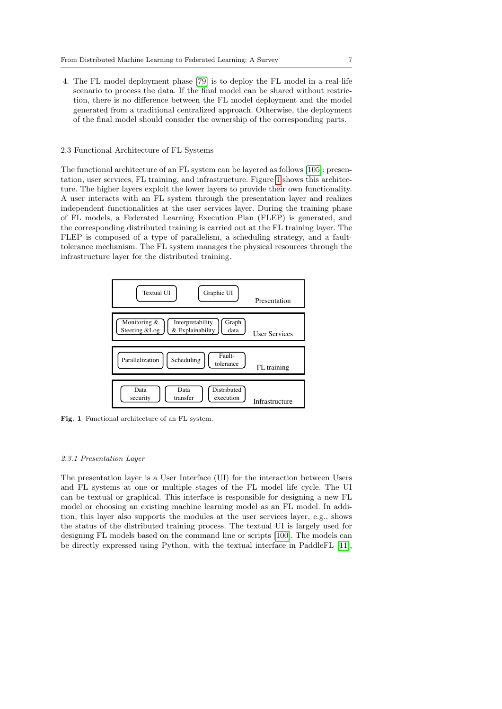4. The FL model deployment phase [\[79\]](#page-28-0) is to deploy the FL model in a real-life scenario to process the data. If the final model can be shared without restriction, there is no difference between the FL model deployment and the model generated from a traditional centralized approach. Otherwise, the deployment of the final model should consider the ownership of the corresponding parts.

#### 2.3 Functional Architecture of FL Systems

The functional architecture of an FL system can be layered as follows [\[105\]](#page-30-4): presentation, user services, FL training, and infrastructure. Figure [1](#page-6-0) shows this architecture. The higher layers exploit the lower layers to provide their own functionality. A user interacts with an FL system through the presentation layer and realizes independent functionalities at the user services layer. During the training phase of FL models, a Federated Learning Execution Plan (FLEP) is generated, and the corresponding distributed training is carried out at the FL training layer. The FLEP is composed of a type of parallelism, a scheduling strategy, and a faulttolerance mechanism. The FL system manages the physical resources through the infrastructure layer for the distributed training.



<span id="page-6-0"></span>Fig. 1 Functional architecture of an FL system.

#### 2.3.1 Presentation Layer

The presentation layer is a User Interface (UI) for the interaction between Users and FL systems at one or multiple stages of the FL model life cycle. The UI can be textual or graphical. This interface is responsible for designing a new FL model or choosing an existing machine learning model as an FL model. In addition, this layer also supports the modules at the user services layer, e.g., shows the status of the distributed training process. The textual UI is largely used for designing FL models based on the command line or scripts [\[100\]](#page-29-4). The models can be directly expressed using Python, with the textual interface in PaddleFL [\[11\]](#page-25-2),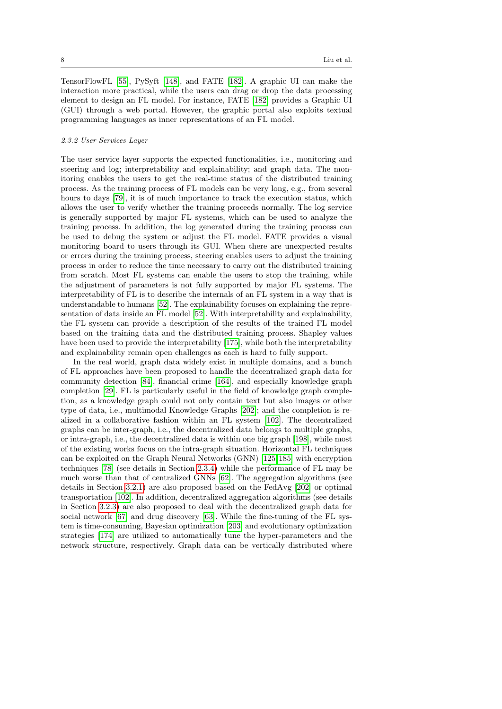TensorFlowFL [\[55\]](#page-27-1), PySyft [\[148\]](#page-32-5), and FATE [\[182\]](#page-33-0). A graphic UI can make the interaction more practical, while the users can drag or drop the data processing element to design an FL model. For instance, FATE [\[182\]](#page-33-0) provides a Graphic UI (GUI) through a web portal. However, the graphic portal also exploits textual programming languages as inner representations of an FL model.

#### 2.3.2 User Services Layer

The user service layer supports the expected functionalities, i.e., monitoring and steering and log; interpretability and explainability; and graph data. The monitoring enables the users to get the real-time status of the distributed training process. As the training process of FL models can be very long, e.g., from several hours to days [\[79\]](#page-28-0), it is of much importance to track the execution status, which allows the user to verify whether the training proceeds normally. The log service is generally supported by major FL systems, which can be used to analyze the training process. In addition, the log generated during the training process can be used to debug the system or adjust the FL model. FATE provides a visual monitoring board to users through its GUI. When there are unexpected results or errors during the training process, steering enables users to adjust the training process in order to reduce the time necessary to carry out the distributed training from scratch. Most FL systems can enable the users to stop the training, while the adjustment of parameters is not fully supported by major FL systems. The interpretability of FL is to describe the internals of an FL system in a way that is understandable to humans [\[52\]](#page-27-7). The explainability focuses on explaining the representation of data inside an FL model [\[52\]](#page-27-7). With interpretability and explainability, the FL system can provide a description of the results of the trained FL model based on the training data and the distributed training process. Shapley values have been used to provide the interpretability [\[175\]](#page-33-3), while both the interpretability and explainability remain open challenges as each is hard to fully support.

In the real world, graph data widely exist in multiple domains, and a bunch of FL approaches have been proposed to handle the decentralized graph data for community detection [\[84\]](#page-29-5), financial crime [\[164\]](#page-33-4), and especially knowledge graph completion [\[29\]](#page-26-6). FL is particularly useful in the field of knowledge graph completion, as a knowledge graph could not only contain text but also images or other type of data, i.e., multimodal Knowledge Graphs [\[202\]](#page-34-4); and the completion is realized in a collaborative fashion within an FL system [\[102\]](#page-30-6). The decentralized graphs can be inter-graph, i.e., the decentralized data belongs to multiple graphs, or intra-graph, i.e., the decentralized data is within one big graph [\[198\]](#page-34-5), while most of the existing works focus on the intra-graph situation. Horizontal FL techniques can be exploited on the Graph Neural Networks (GNN) [\[125,](#page-31-6)[185\]](#page-34-6) with encryption techniques [\[78\]](#page-28-8) (see details in Section [2.3.4\)](#page-8-1) while the performance of FL may be much worse than that of centralized GNNs [\[62\]](#page-28-9). The aggregation algorithms (see details in Section [3.2.1\)](#page-12-1) are also proposed based on the FedAvg [\[202\]](#page-34-4) or optimal transportation [\[102\]](#page-30-6). In addition, decentralized aggregation algorithms (see details in Section [3.2.3\)](#page-15-0) are also proposed to deal with the decentralized graph data for social network [\[67\]](#page-28-10) and drug discovery [\[63\]](#page-28-11). While the fine-tuning of the FL system is time-consuming, Bayesian optimization [\[203\]](#page-34-7) and evolutionary optimization strategies [\[174\]](#page-33-5) are utilized to automatically tune the hyper-parameters and the network structure, respectively. Graph data can be vertically distributed where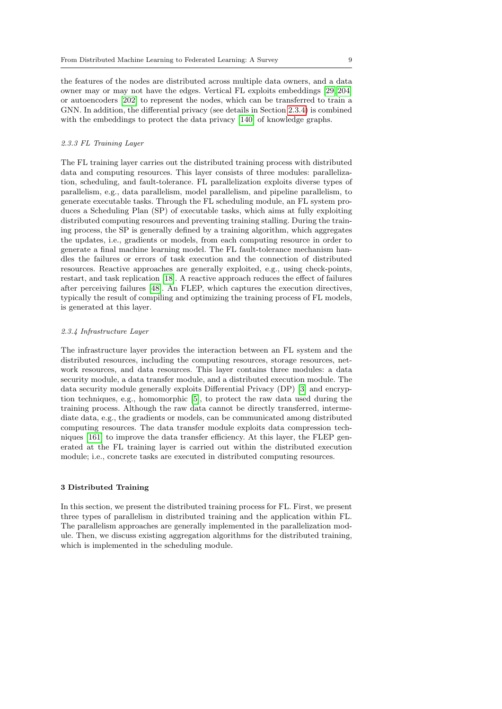the features of the nodes are distributed across multiple data owners, and a data owner may or may not have the edges. Vertical FL exploits embeddings [\[29,](#page-26-6) [204\]](#page-34-8) or autoencoders [\[202\]](#page-34-4) to represent the nodes, which can be transferred to train a GNN. In addition, the differential privacy (see details in Section [2.3.4\)](#page-8-1) is combined with the embeddings to protect the data privacy [\[140\]](#page-31-7) of knowledge graphs.

#### 2.3.3 FL Training Layer

The FL training layer carries out the distributed training process with distributed data and computing resources. This layer consists of three modules: parallelization, scheduling, and fault-tolerance. FL parallelization exploits diverse types of parallelism, e.g., data parallelism, model parallelism, and pipeline parallelism, to generate executable tasks. Through the FL scheduling module, an FL system produces a Scheduling Plan (SP) of executable tasks, which aims at fully exploiting distributed computing resources and preventing training stalling. During the training process, the SP is generally defined by a training algorithm, which aggregates the updates, i.e., gradients or models, from each computing resource in order to generate a final machine learning model. The FL fault-tolerance mechanism handles the failures or errors of task execution and the connection of distributed resources. Reactive approaches are generally exploited, e.g., using check-points, restart, and task replication [\[18\]](#page-26-7). A reactive approach reduces the effect of failures after perceiving failures [\[48\]](#page-27-8). An FLEP, which captures the execution directives, typically the result of compiling and optimizing the training process of FL models, is generated at this layer.

#### <span id="page-8-1"></span>2.3.4 Infrastructure Layer

The infrastructure layer provides the interaction between an FL system and the distributed resources, including the computing resources, storage resources, network resources, and data resources. This layer contains three modules: a data security module, a data transfer module, and a distributed execution module. The data security module generally exploits Differential Privacy (DP) [\[3\]](#page-25-3) and encryption techniques, e.g., homomorphic [\[5\]](#page-25-4), to protect the raw data used during the training process. Although the raw data cannot be directly transferred, intermediate data, e.g., the gradients or models, can be communicated among distributed computing resources. The data transfer module exploits data compression techniques [\[161\]](#page-32-6) to improve the data transfer efficiency. At this layer, the FLEP generated at the FL training layer is carried out within the distributed execution module; i.e., concrete tasks are executed in distributed computing resources.

## <span id="page-8-0"></span>3 Distributed Training

In this section, we present the distributed training process for FL. First, we present three types of parallelism in distributed training and the application within FL. The parallelism approaches are generally implemented in the parallelization module. Then, we discuss existing aggregation algorithms for the distributed training, which is implemented in the scheduling module.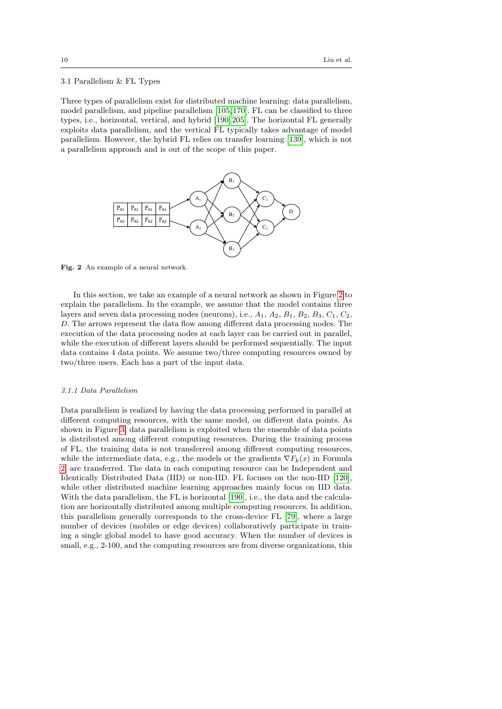## 3.1 Parallelism & FL Types

Three types of parallelism exist for distributed machine learning: data parallelism, model parallelism, and pipeline parallelism [\[105,](#page-30-4)[170\]](#page-33-1). FL can be classified to three types, i.e., horizontal, vertical, and hybrid [\[190,](#page-34-0) [205\]](#page-35-0). The horizontal FL generally exploits data parallelism, and the vertical FL typically takes advantage of model parallelism. However, the hybrid FL relies on transfer learning [\[139\]](#page-31-8), which is not a parallelism approach and is out of the scope of this paper.



<span id="page-9-0"></span>Fig. 2 An example of a neural network.

In this section, we take an example of a neural network as shown in Figure [2](#page-9-0) to explain the parallelism. In the example, we assume that the model contains three layers and seven data processing nodes (neurons), i.e.,  $A_1$ ,  $A_2$ ,  $B_1$ ,  $B_2$ ,  $B_3$ ,  $C_1$ ,  $C_2$ , D. The arrows represent the data flow among different data processing nodes. The execution of the data processing nodes at each layer can be carried out in parallel, while the execution of different layers should be performed sequentially. The input data contains 4 data points. We assume two/three computing resources owned by two/three users. Each has a part of the input data.

## 3.1.1 Data Parallelism

Data parallelism is realized by having the data processing performed in parallel at different computing resources, with the same model, on different data points. As shown in Figure [3,](#page-10-0) data parallelism is exploited when the ensemble of data points is distributed among different computing resources. During the training process of FL, the training data is not transferred among different computing resources, while the intermediate data, e.g., the models or the gradients  $\nabla F_k(x)$  in Formula [2,](#page-5-0) are transferred. The data in each computing resource can be Independent and Identically Distributed Data (IID) or non-IID. FL focuses on the non-IID [\[120\]](#page-30-2), while other distributed machine learning approaches mainly focus on IID data. With the data parallelism, the FL is horizontal [\[190\]](#page-34-0), i.e., the data and the calculation are horizontally distributed among multiple computing resources. In addition, this parallelism generally corresponds to the cross-device FL [\[79\]](#page-28-0), where a large number of devices (mobiles or edge devices) collaboratively participate in training a single global model to have good accuracy. When the number of devices is small, e.g., 2-100, and the computing resources are from diverse organizations, this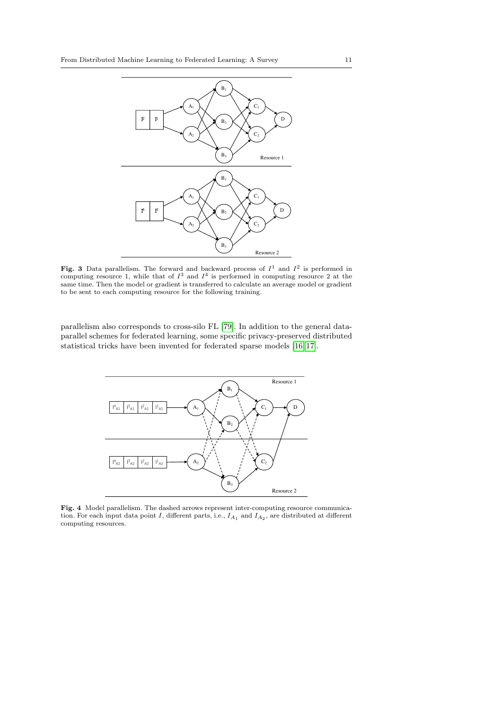

<span id="page-10-0"></span>Fig. 3 Data parallelism. The forward and backward process of  $I<sup>1</sup>$  and  $I<sup>2</sup>$  is performed in computing resource 1, while that of  $I^3$  and  $I^4$  is performed in computing resource 2 at the same time. Then the model or gradient is transferred to calculate an average model or gradient to be sent to each computing resource for the following training.

parallelism also corresponds to cross-silo FL [\[79\]](#page-28-0). In addition to the general dataparallel schemes for federated learning, some specific privacy-preserved distributed statistical tricks have been invented for federated sparse models [\[16,](#page-26-8) [17\]](#page-26-9).



<span id="page-10-1"></span>Fig. 4 Model parallelism. The dashed arrows represent inter-computing resource communication. For each input data point I, different parts, i.e.,  $I_{A_1}$  and  $I_{A_2}$ , are distributed at different computing resources.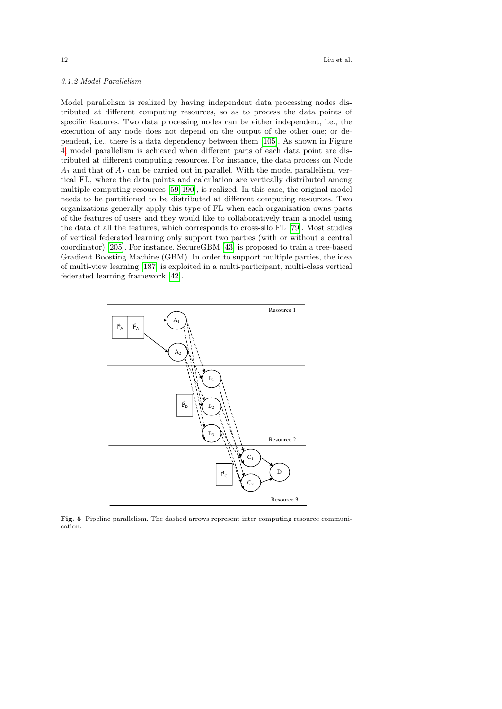## <span id="page-11-0"></span>3.1.2 Model Parallelism

Model parallelism is realized by having independent data processing nodes distributed at different computing resources, so as to process the data points of specific features. Two data processing nodes can be either independent, i.e., the execution of any node does not depend on the output of the other one; or dependent, i.e., there is a data dependency between them [\[105\]](#page-30-4). As shown in Figure [4,](#page-10-1) model parallelism is achieved when different parts of each data point are distributed at different computing resources. For instance, the data process on Node  $A_1$  and that of  $A_2$  can be carried out in parallel. With the model parallelism, vertical FL, where the data points and calculation are vertically distributed among multiple computing resources [\[59,](#page-27-2) [190\]](#page-34-0), is realized. In this case, the original model needs to be partitioned to be distributed at different computing resources. Two organizations generally apply this type of FL when each organization owns parts of the features of users and they would like to collaboratively train a model using the data of all the features, which corresponds to cross-silo FL [\[79\]](#page-28-0). Most studies of vertical federated learning only support two parties (with or without a central coordinator) [\[205\]](#page-35-0). For instance, SecureGBM [\[43\]](#page-27-9) is proposed to train a tree-based Gradient Boosting Machine (GBM). In order to support multiple parties, the idea of multi-view learning [\[187\]](#page-34-9) is exploited in a multi-participant, multi-class vertical federated learning framework [\[42\]](#page-27-10).



<span id="page-11-1"></span>Fig. 5 Pipeline parallelism. The dashed arrows represent inter computing resource communication.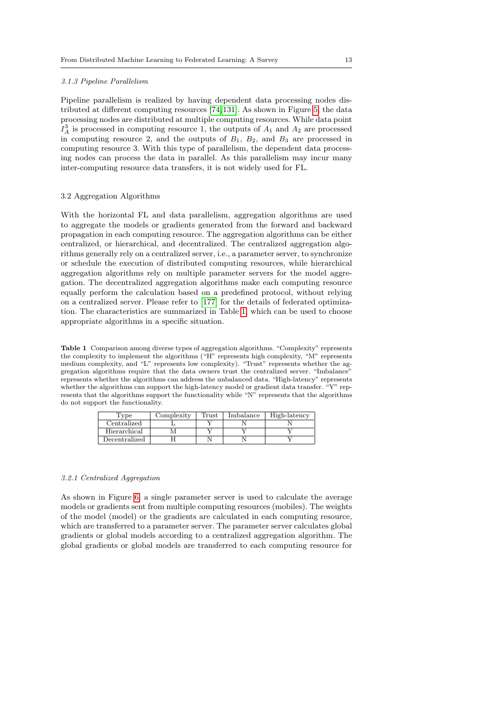#### 3.1.3 Pipeline Parallelism

Pipeline parallelism is realized by having dependent data processing nodes distributed at different computing resources [\[74,](#page-28-5)[131\]](#page-31-5). As shown in Figure [5,](#page-11-1) the data processing nodes are distributed at multiple computing resources. While data point  $I_A^3$  is processed in computing resource 1, the outputs of  $A_1$  and  $A_2$  are processed in computing resource 2, and the outputs of  $B_1$ ,  $B_2$ , and  $B_3$  are processed in computing resource 3. With this type of parallelism, the dependent data processing nodes can process the data in parallel. As this parallelism may incur many inter-computing resource data transfers, it is not widely used for FL.

#### <span id="page-12-0"></span>3.2 Aggregation Algorithms

With the horizontal FL and data parallelism, aggregation algorithms are used to aggregate the models or gradients generated from the forward and backward propagation in each computing resource. The aggregation algorithms can be either centralized, or hierarchical, and decentralized. The centralized aggregation algorithms generally rely on a centralized server, i.e., a parameter server, to synchronize or schedule the execution of distributed computing resources, while hierarchical aggregation algorithms rely on multiple parameter servers for the model aggregation. The decentralized aggregation algorithms make each computing resource equally perform the calculation based on a predefined protocol, without relying on a centralized server. Please refer to [\[177\]](#page-33-6) for the details of federated optimization. The characteristics are summarized in Table [1,](#page-12-2) which can be used to choose appropriate algorithms in a specific situation.

<span id="page-12-2"></span>Table 1 Comparison among diverse types of aggregation algorithms. "Complexity" represents the complexity to implement the algorithms ("H" represents high complexity, "M" represents medium complexity, and "L" represents low complexity). "Trust" represents whether the aggregation algorithms require that the data owners trust the centralized server. "Imbalance" represents whether the algorithms can address the unbalanced data. "High-latency" represents whether the algorithms can support the high-latency model or gradient data transfer. "Y" represents that the algorithms support the functionality while "N" represents that the algorithms do not support the functionality.

| Type          | Complexity | $\Gamma\text{rust}$ | Imbalance | High-latency |
|---------------|------------|---------------------|-----------|--------------|
| Centralized   |            |                     |           |              |
| Hierarchical  |            |                     |           |              |
| Decentralized |            |                     |           |              |

#### <span id="page-12-1"></span>3.2.1 Centralized Aggregation

As shown in Figure [6,](#page-13-0) a single parameter server is used to calculate the average models or gradients sent from multiple computing resources (mobiles). The weights of the model (model) or the gradients are calculated in each computing resource, which are transferred to a parameter server. The parameter server calculates global gradients or global models according to a centralized aggregation algorithm. The global gradients or global models are transferred to each computing resource for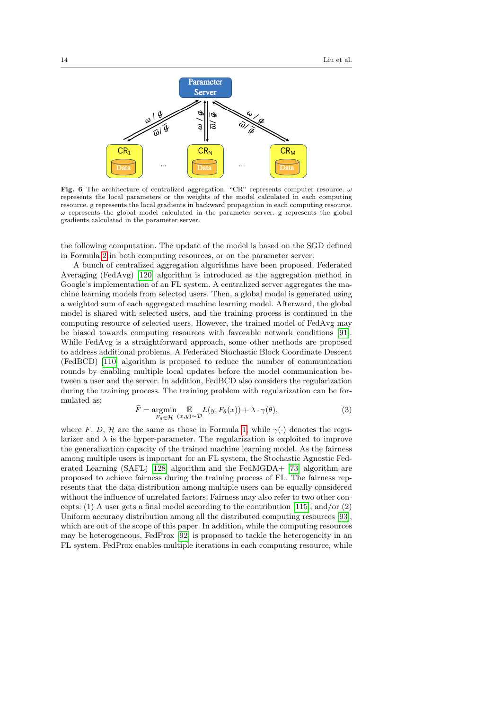

<span id="page-13-0"></span>Fig. 6 The architecture of centralized aggregation. "CR" represents computer resource.  $\omega$ represents the local parameters or the weights of the model calculated in each computing resource. g represents the local gradients in backward propagation in each computing resource.  $\overline{\omega}$  represents the global model calculated in the parameter server.  $\overline{g}$  represents the global gradients calculated in the parameter server.

the following computation. The update of the model is based on the SGD defined in Formula [2](#page-5-0) in both computing resources, or on the parameter server.

A bunch of centralized aggregation algorithms have been proposed. Federated Averaging (FedAvg) [\[120\]](#page-30-2) algorithm is introduced as the aggregation method in Google's implementation of an FL system. A centralized server aggregates the machine learning models from selected users. Then, a global model is generated using a weighted sum of each aggregated machine learning model. Afterward, the global model is shared with selected users, and the training process is continued in the computing resource of selected users. However, the trained model of FedAvg may be biased towards computing resources with favorable network conditions [\[91\]](#page-29-6). While FedAvg is a straightforward approach, some other methods are proposed to address additional problems. A Federated Stochastic Block Coordinate Descent (FedBCD) [\[110\]](#page-30-7) algorithm is proposed to reduce the number of communication rounds by enabling multiple local updates before the model communication between a user and the server. In addition, FedBCD also considers the regularization during the training process. The training problem with regularization can be formulated as:

$$
\widehat{F} = \underset{F_{\theta} \in \mathcal{H}}{\operatorname{argmin}} \mathop{\mathbb{E}}_{(x,y) \sim \mathcal{D}} L(y, F_{\theta}(x)) + \lambda \cdot \gamma(\theta),\tag{3}
$$

where F, D, H are the same as those in Formula [1,](#page-4-0) while  $\gamma(\cdot)$  denotes the regularizer and  $\lambda$  is the hyper-parameter. The regularization is exploited to improve the generalization capacity of the trained machine learning model. As the fairness among multiple users is important for an FL system, the Stochastic Agnostic Federated Learning (SAFL) [\[128\]](#page-31-9) algorithm and the FedMGDA+ [\[73\]](#page-28-12) algorithm are proposed to achieve fairness during the training process of FL. The fairness represents that the data distribution among multiple users can be equally considered without the influence of unrelated factors. Fairness may also refer to two other concepts: (1) A user gets a final model according to the contribution [\[115\]](#page-30-8); and/or (2) Uniform accuracy distribution among all the distributed computing resources [\[93\]](#page-29-7), which are out of the scope of this paper. In addition, while the computing resources may be heterogeneous, FedProx [\[92\]](#page-29-8) is proposed to tackle the heterogeneity in an FL system. FedProx enables multiple iterations in each computing resource, while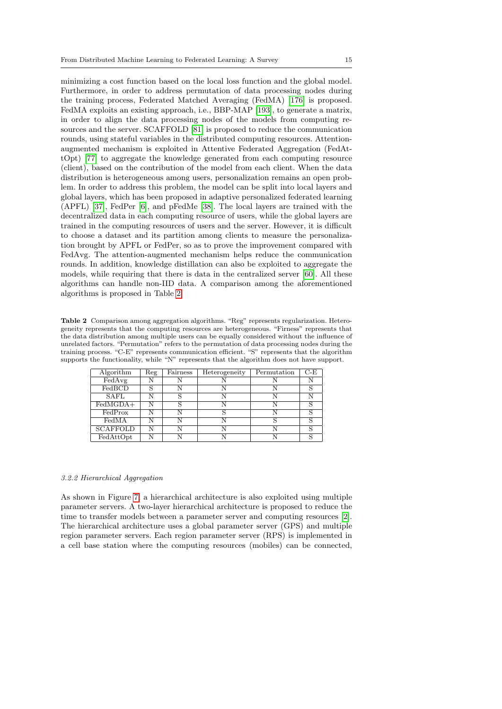minimizing a cost function based on the local loss function and the global model. Furthermore, in order to address permutation of data processing nodes during the training process, Federated Matched Averaging (FedMA) [\[176\]](#page-33-7) is proposed. FedMA exploits an existing approach, i.e., BBP-MAP [\[193\]](#page-34-10), to generate a matrix, in order to align the data processing nodes of the models from computing resources and the server. SCAFFOLD [\[81\]](#page-29-9) is proposed to reduce the communication rounds, using stateful variables in the distributed computing resources. Attentionaugmented mechanism is exploited in Attentive Federated Aggregation (FedAttOpt) [\[77\]](#page-28-13) to aggregate the knowledge generated from each computing resource (client), based on the contribution of the model from each client. When the data distribution is heterogeneous among users, personalization remains an open problem. In order to address this problem, the model can be split into local layers and global layers, which has been proposed in adaptive personalized federated learning (APFL) [\[37\]](#page-27-11), FedPer [\[6\]](#page-25-5), and pFedMe [\[38\]](#page-27-12). The local layers are trained with the decentralized data in each computing resource of users, while the global layers are trained in the computing resources of users and the server. However, it is difficult to choose a dataset and its partition among clients to measure the personalization brought by APFL or FedPer, so as to prove the improvement compared with FedAvg. The attention-augmented mechanism helps reduce the communication rounds. In addition, knowledge distillation can also be exploited to aggregate the models, while requiring that there is data in the centralized server [\[60\]](#page-27-13). All these algorithms can handle non-IID data. A comparison among the aforementioned algorithms is proposed in Table [2.](#page-14-0)

<span id="page-14-0"></span>Table 2 Comparison among aggregation algorithms. "Reg" represents regularization. Heterogeneity represents that the computing resources are heterogeneous. "Firness" represents that the data distribution among multiple users can be equally considered without the influence of unrelated factors. "Permutation" refers to the permutation of data processing nodes during the training process. "C-E" represents communication efficient. "S" represents that the algorithm supports the functionality, while "N" represents that the algorithm does not have support.

| Algorithm       | Reg | Fairness | Heterogeneity | Permutation | C-E |
|-----------------|-----|----------|---------------|-------------|-----|
| FedAvg          |     |          |               |             |     |
| FedBCD          |     |          |               |             |     |
| <b>SAFL</b>     |     |          |               |             |     |
| $FedMGDA+$      |     |          |               |             |     |
| FedProx         |     |          |               |             |     |
| FedMA           |     |          |               |             |     |
| <b>SCAFFOLD</b> |     |          |               |             |     |
| FedAttOpt       |     |          |               |             |     |

#### 3.2.2 Hierarchical Aggregation

As shown in Figure [7,](#page-15-1) a hierarchical architecture is also exploited using multiple parameter servers. A two-layer hierarchical architecture is proposed to reduce the time to transfer models between a parameter server and computing resources [\[2\]](#page-25-6). The hierarchical architecture uses a global parameter server (GPS) and multiple region parameter servers. Each region parameter server (RPS) is implemented in a cell base station where the computing resources (mobiles) can be connected,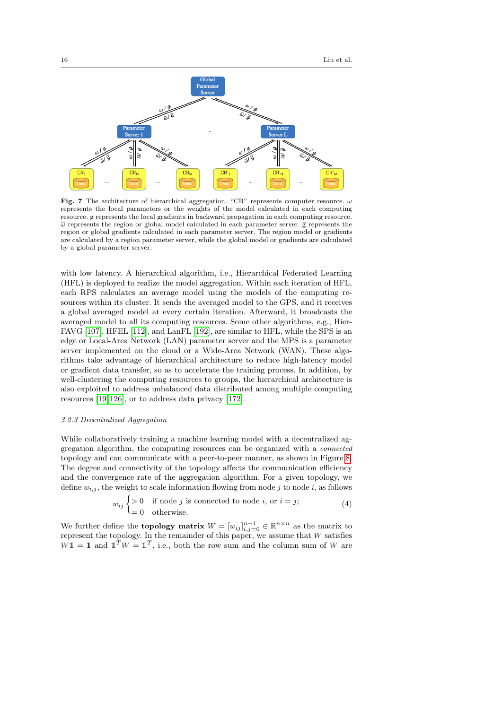

<span id="page-15-1"></span>Fig. 7 The architecture of hierarchical aggregation. "CR" represents computer resource.  $\omega$ represents the local parameters or the weights of the model calculated in each computing resource. g represents the local gradients in backward propagation in each computing resource.  $\overline{\omega}$  represents the region or global model calculated in each parameter server.  $\overline{g}$  represents the region or global gradients calculated in each parameter server. The region model or gradients are calculated by a region parameter server, while the global model or gradients are calculated by a global parameter server.

with low latency. A hierarchical algorithm, i.e., Hierarchical Federated Learning (HFL) is deployed to realize the model aggregation. Within each iteration of HFL, each RPS calculates an average model using the models of the computing resources within its cluster. It sends the averaged model to the GPS, and it receives a global averaged model at every certain iteration. Afterward, it broadcasts the averaged model to all its computing resources. Some other algorithms, e.g., Hier-FAVG [\[107\]](#page-30-9), HFEL [\[112\]](#page-30-10), and LanFL [\[192\]](#page-34-11), are similar to HFL, while the SPS is an edge or Local-Area Network (LAN) parameter server and the MPS is a parameter server implemented on the cloud or a Wide-Area Network (WAN). These algorithms take advantage of hierarchical architecture to reduce high-latency model or gradient data transfer, so as to accelerate the training process. In addition, by well-clustering the computing resources to groups, the hierarchical architecture is also exploited to address unbalanced data distributed among multiple computing resources [\[19,](#page-26-10) [126\]](#page-31-10), or to address data privacy [\[172\]](#page-33-8).

### <span id="page-15-0"></span>3.2.3 Decentralized Aggregation

While collaboratively training a machine learning model with a decentralized aggregation algorithm, the computing resources can be organized with a connected topology and can communicate with a peer-to-peer manner, as shown in Figure [8.](#page-16-0) The degree and connectivity of the topology affects the communication efficiency and the convergence rate of the aggregation algorithm. For a given topology, we define  $w_{i,j}$ , the weight to scale information flowing from node j to node i, as follows

$$
w_{ij} \begin{cases} > 0 & \text{if node } j \text{ is connected to node } i, \text{ or } i = j; \\ = 0 & \text{otherwise.} \end{cases} \tag{4}
$$

We further define the **topology matrix**  $W = [w_{ij}]_{i,j=0}^{n-1} \in \mathbb{R}^{n \times n}$  as the matrix to represent the topology. In the remainder of this paper, we assume that  $W$  satisfies  $W1 = 1$  and  $1^TW = 1^T$ , i.e., both the row sum and the column sum of W are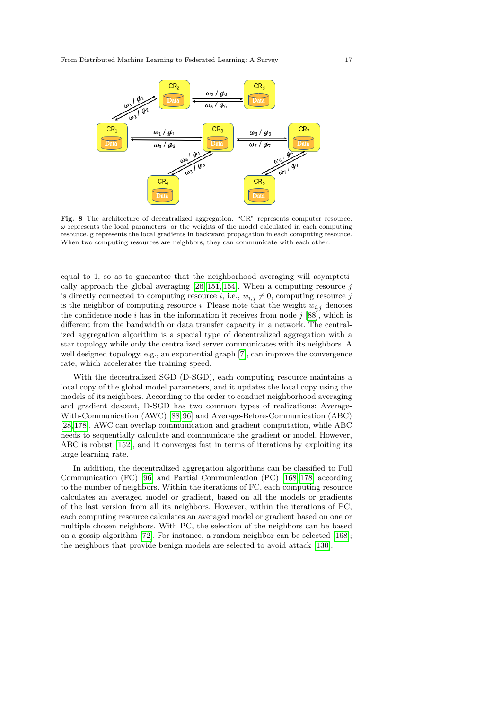

<span id="page-16-0"></span>Fig. 8 The architecture of decentralized aggregation. "CR" represents computer resource.  $\omega$  represents the local parameters, or the weights of the model calculated in each computing resource. g represents the local gradients in backward propagation in each computing resource. When two computing resources are neighbors, they can communicate with each other.

equal to 1, so as to guarantee that the neighborhood averaging will asymptotically approach the global averaging  $[26, 151, 154]$  $[26, 151, 154]$  $[26, 151, 154]$ . When a computing resource j is directly connected to computing resource i, i.e.,  $w_{i,j} \neq 0$ , computing resource j is the neighbor of computing resource *i*. Please note that the weight  $w_{i,j}$  denotes the confidence node  $i$  has in the information it receives from node  $j$  [\[88\]](#page-29-10), which is different from the bandwidth or data transfer capacity in a network. The centralized aggregation algorithm is a special type of decentralized aggregation with a star topology while only the centralized server communicates with its neighbors. A well designed topology, e.g., an exponential graph [\[7\]](#page-25-7), can improve the convergence rate, which accelerates the training speed.

With the decentralized SGD (D-SGD), each computing resource maintains a local copy of the global model parameters, and it updates the local copy using the models of its neighbors. According to the order to conduct neighborhood averaging and gradient descent, D-SGD has two common types of realizations: Average-With-Communication (AWC) [\[88,](#page-29-10)[96\]](#page-29-11) and Average-Before-Communication (ABC) [\[28,](#page-26-12) [178\]](#page-33-9). AWC can overlap communication and gradient computation, while ABC needs to sequentially calculate and communicate the gradient or model. However, ABC is robust [\[152\]](#page-32-9), and it converges fast in terms of iterations by exploiting its large learning rate.

In addition, the decentralized aggregation algorithms can be classified to Full Communication (FC) [\[96\]](#page-29-11) and Partial Communication (PC) [\[168,](#page-33-10) [178\]](#page-33-9) according to the number of neighbors. Within the iterations of FC, each computing resource calculates an averaged model or gradient, based on all the models or gradients of the last version from all its neighbors. However, within the iterations of PC, each computing resource calculates an averaged model or gradient based on one or multiple chosen neighbors. With PC, the selection of the neighbors can be based on a gossip algorithm [\[72\]](#page-28-14). For instance, a random neighbor can be selected [\[168\]](#page-33-10); the neighbors that provide benign models are selected to avoid attack [\[130\]](#page-31-11).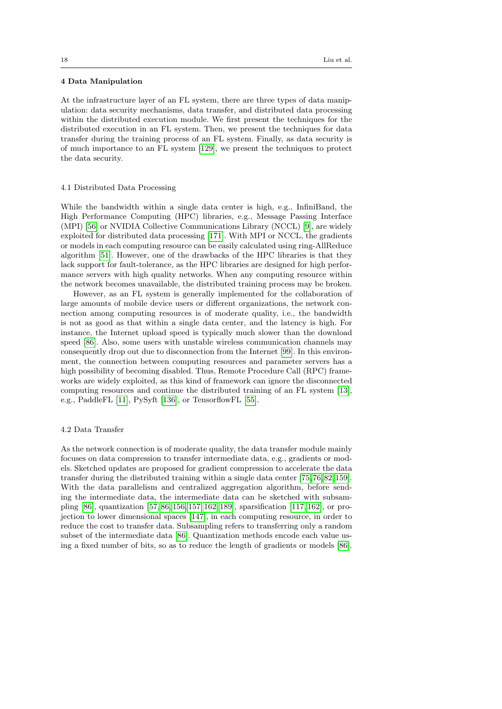#### <span id="page-17-0"></span>4 Data Manipulation

At the infrastructure layer of an FL system, there are three types of data manipulation: data security mechanisms, data transfer, and distributed data processing within the distributed execution module. We first present the techniques for the distributed execution in an FL system. Then, we present the techniques for data transfer during the training process of an FL system. Finally, as data security is of much importance to an FL system [\[129\]](#page-31-2), we present the techniques to protect the data security.

#### 4.1 Distributed Data Processing

While the bandwidth within a single data center is high, e.g., InfiniBand, the High Performance Computing (HPC) libraries, e.g., Message Passing Interface (MPI) [\[56\]](#page-27-14) or NVIDIA Collective Communications Library (NCCL) [\[9\]](#page-25-8), are widely exploited for distributed data processing [\[171\]](#page-33-11). With MPI or NCCL, the gradients or models in each computing resource can be easily calculated using ring-AllReduce algorithm [\[51\]](#page-27-15). However, one of the drawbacks of the HPC libraries is that they lack support for fault-tolerance, as the HPC libraries are designed for high performance servers with high quality networks. When any computing resource within the network becomes unavailable, the distributed training process may be broken.

However, as an FL system is generally implemented for the collaboration of large amounts of mobile device users or different organizations, the network connection among computing resources is of moderate quality, i.e., the bandwidth is not as good as that within a single data center, and the latency is high. For instance, the Internet upload speed is typically much slower than the download speed [\[86\]](#page-29-12). Also, some users with unstable wireless communication channels may consequently drop out due to disconnection from the Internet [\[99\]](#page-29-2). In this environment, the connection between computing resources and parameter servers has a high possibility of becoming disabled. Thus, Remote Procedure Call (RPC) frameworks are widely exploited, as this kind of framework can ignore the disconnected computing resources and continue the distributed training of an FL system [\[13\]](#page-25-9), e.g., PaddleFL [\[11\]](#page-25-2), PySyft [\[136\]](#page-31-3), or TensorflowFL [\[55\]](#page-27-1).

## 4.2 Data Transfer

As the network connection is of moderate quality, the data transfer module mainly focuses on data compression to transfer intermediate data, e.g., gradients or models. Sketched updates are proposed for gradient compression to accelerate the data transfer during the distributed training within a single data center [\[75,](#page-28-15)[76,](#page-28-16)[82,](#page-29-13)[159\]](#page-32-10). With the data parallelism and centralized aggregation algorithm, before sending the intermediate data, the intermediate data can be sketched with subsampling [\[86\]](#page-29-12), quantization [\[57,](#page-27-16) [86,](#page-29-12) [156,](#page-32-11) [157,](#page-32-12) [162,](#page-32-13) [189\]](#page-34-12), sparsification [\[117,](#page-30-11) [162\]](#page-32-13), or projection to lower dimensional spaces [\[147\]](#page-32-14), in each computing resource, in order to reduce the cost to transfer data. Subsampling refers to transferring only a random subset of the intermediate data [\[86\]](#page-29-12). Quantization methods encode each value using a fixed number of bits, so as to reduce the length of gradients or models [\[86\]](#page-29-12).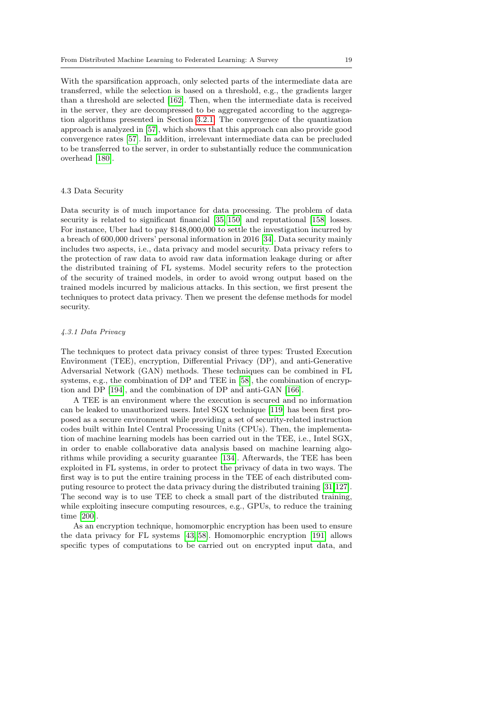With the sparsification approach, only selected parts of the intermediate data are transferred, while the selection is based on a threshold, e.g., the gradients larger than a threshold are selected [\[162\]](#page-32-13). Then, when the intermediate data is received in the server, they are decompressed to be aggregated according to the aggregation algorithms presented in Section [3.2.1.](#page-12-1) The convergence of the quantization approach is analyzed in [\[57\]](#page-27-16), which shows that this approach can also provide good convergence rates [\[57\]](#page-27-16). In addition, irrelevant intermediate data can be precluded to be transferred to the server, in order to substantially reduce the communication overhead [\[180\]](#page-33-12).

#### 4.3 Data Security

Data security is of much importance for data processing. The problem of data security is related to significant financial [\[35,](#page-26-5) [150\]](#page-32-2) and reputational [\[158\]](#page-32-3) losses. For instance, Uber had to pay \$148,000,000 to settle the investigation incurred by a breach of 600,000 drivers' personal information in 2016 [\[34\]](#page-26-13). Data security mainly includes two aspects, i.e., data privacy and model security. Data privacy refers to the protection of raw data to avoid raw data information leakage during or after the distributed training of FL systems. Model security refers to the protection of the security of trained models, in order to avoid wrong output based on the trained models incurred by malicious attacks. In this section, we first present the techniques to protect data privacy. Then we present the defense methods for model security.

#### 4.3.1 Data Privacy

The techniques to protect data privacy consist of three types: Trusted Execution Environment (TEE), encryption, Differential Privacy (DP), and anti-Generative Adversarial Network (GAN) methods. These techniques can be combined in FL systems, e.g., the combination of DP and TEE in [\[58\]](#page-27-17), the combination of encryption and DP [\[194\]](#page-34-13), and the combination of DP and anti-GAN [\[166\]](#page-33-13).

A TEE is an environment where the execution is secured and no information can be leaked to unauthorized users. Intel SGX technique [\[119\]](#page-30-12) has been first proposed as a secure environment while providing a set of security-related instruction codes built within Intel Central Processing Units (CPUs). Then, the implementation of machine learning models has been carried out in the TEE, i.e., Intel SGX, in order to enable collaborative data analysis based on machine learning algorithms while providing a security guarantee [\[134\]](#page-31-12). Afterwards, the TEE has been exploited in FL systems, in order to protect the privacy of data in two ways. The first way is to put the entire training process in the TEE of each distributed computing resource to protect the data privacy during the distributed training [\[31,](#page-26-14)[127\]](#page-31-13). The second way is to use TEE to check a small part of the distributed training, while exploiting insecure computing resources, e.g., GPUs, to reduce the training time [\[200\]](#page-34-14).

As an encryption technique, homomorphic encryption has been used to ensure the data privacy for FL systems [\[43,](#page-27-9) [58\]](#page-27-17). Homomorphic encryption [\[191\]](#page-34-15) allows specific types of computations to be carried out on encrypted input data, and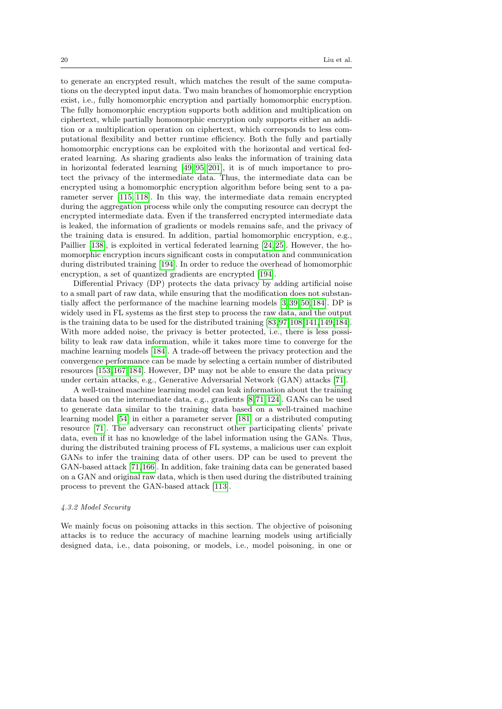to generate an encrypted result, which matches the result of the same computations on the decrypted input data. Two main branches of homomorphic encryption exist, i.e., fully homomorphic encryption and partially homomorphic encryption. The fully homomorphic encryption supports both addition and multiplication on ciphertext, while partially homomorphic encryption only supports either an addition or a multiplication operation on ciphertext, which corresponds to less computational flexibility and better runtime efficiency. Both the fully and partially homomorphic encryptions can be exploited with the horizontal and vertical federated learning. As sharing gradients also leaks the information of training data in horizontal federated learning [\[49,](#page-27-3) [95,](#page-29-14) [201\]](#page-34-16), it is of much importance to protect the privacy of the intermediate data. Thus, the intermediate data can be encrypted using a homomorphic encryption algorithm before being sent to a parameter server [\[115,](#page-30-8) [118\]](#page-30-13). In this way, the intermediate data remain encrypted during the aggregation process while only the computing resource can decrypt the encrypted intermediate data. Even if the transferred encrypted intermediate data is leaked, the information of gradients or models remains safe, and the privacy of the training data is ensured. In addition, partial homomorphic encryption, e.g., Paillier [\[138\]](#page-31-14), is exploited in vertical federated learning [\[24,](#page-26-15) [25\]](#page-26-16). However, the homomorphic encryption incurs significant costs in computation and communication during distributed training [\[194\]](#page-34-13). In order to reduce the overhead of homomorphic encryption, a set of quantized gradients are encrypted [\[194\]](#page-34-13).

Differential Privacy (DP) protects the data privacy by adding artificial noise to a small part of raw data, while ensuring that the modification does not substantially affect the performance of the machine learning models [\[3,](#page-25-3) [39,](#page-27-18) [50,](#page-27-19) [184\]](#page-34-17). DP is widely used in FL systems as the first step to process the raw data, and the output is the training data to be used for the distributed training [\[83,](#page-29-15)[97,](#page-29-16)[108,](#page-30-14)[141,](#page-31-15)[149,](#page-32-15)[184\]](#page-34-17). With more added noise, the privacy is better protected, i.e., there is less possibility to leak raw data information, while it takes more time to converge for the machine learning models [\[184\]](#page-34-17). A trade-off between the privacy protection and the convergence performance can be made by selecting a certain number of distributed resources [\[153,](#page-32-16) [167,](#page-33-14) [184\]](#page-34-17). However, DP may not be able to ensure the data privacy under certain attacks, e.g., Generative Adversarial Network (GAN) attacks [\[71\]](#page-28-2).

A well-trained machine learning model can leak information about the training data based on the intermediate data, e.g., gradients [\[8,](#page-25-10)[71,](#page-28-2)[124\]](#page-31-16). GANs can be used to generate data similar to the training data based on a well-trained machine learning model [\[54\]](#page-27-20) in either a parameter server [\[181\]](#page-33-2) or a distributed computing resource [\[71\]](#page-28-2). The adversary can reconstruct other participating clients' private data, even if it has no knowledge of the label information using the GANs. Thus, during the distributed training process of FL systems, a malicious user can exploit GANs to infer the training data of other users. DP can be used to prevent the GAN-based attack [\[71,](#page-28-2)[166\]](#page-33-13). In addition, fake training data can be generated based on a GAN and original raw data, which is then used during the distributed training process to prevent the GAN-based attack [\[113\]](#page-30-15).

#### 4.3.2 Model Security

We mainly focus on poisoning attacks in this section. The objective of poisoning attacks is to reduce the accuracy of machine learning models using artificially designed data, i.e., data poisoning, or models, i.e., model poisoning, in one or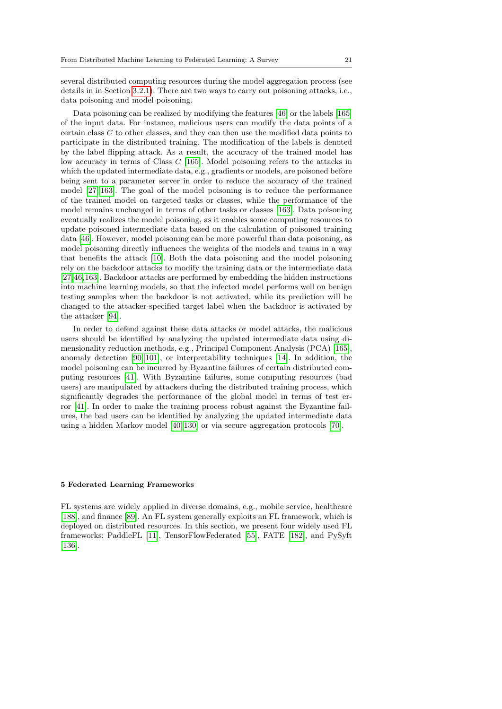several distributed computing resources during the model aggregation process (see details in in Section [3.2.1\)](#page-12-1). There are two ways to carry out poisoning attacks, i.e., data poisoning and model poisoning.

Data poisoning can be realized by modifying the features [\[46\]](#page-27-21) or the labels [\[165\]](#page-33-15) of the input data. For instance, malicious users can modify the data points of a certain class C to other classes, and they can then use the modified data points to participate in the distributed training. The modification of the labels is denoted by the label flipping attack. As a result, the accuracy of the trained model has low accuracy in terms of Class C [\[165\]](#page-33-15). Model poisoning refers to the attacks in which the updated intermediate data, e.g., gradients or models, are poisoned before being sent to a parameter server in order to reduce the accuracy of the trained model [\[27,](#page-26-17) [163\]](#page-32-17). The goal of the model poisoning is to reduce the performance of the trained model on targeted tasks or classes, while the performance of the model remains unchanged in terms of other tasks or classes [\[163\]](#page-32-17). Data poisoning eventually realizes the model poisoning, as it enables some computing resources to update poisoned intermediate data based on the calculation of poisoned training data [\[46\]](#page-27-21). However, model poisoning can be more powerful than data poisoning, as model poisoning directly influences the weights of the models and trains in a way that benefits the attack [\[10\]](#page-25-11). Both the data poisoning and the model poisoning rely on the backdoor attacks to modify the training data or the intermediate data [\[27,](#page-26-17)[46,](#page-27-21)[163\]](#page-32-17). Backdoor attacks are performed by embedding the hidden instructions into machine learning models, so that the infected model performs well on benign testing samples when the backdoor is not activated, while its prediction will be changed to the attacker-specified target label when the backdoor is activated by the attacker [\[94\]](#page-29-17).

In order to defend against these data attacks or model attacks, the malicious users should be identified by analyzing the updated intermediate data using dimensionality reduction methods, e.g., Principal Component Analysis (PCA) [\[165\]](#page-33-15), anomaly detection [\[90,](#page-29-18) [101\]](#page-30-16), or interpretability techniques [\[14\]](#page-25-12). In addition, the model poisoning can be incurred by Byzantine failures of certain distributed computing resources [\[41\]](#page-27-22). With Byzantine failures, some computing resources (bad users) are manipulated by attackers during the distributed training process, which significantly degrades the performance of the global model in terms of test error [\[41\]](#page-27-22). In order to make the training process robust against the Byzantine failures, the bad users can be identified by analyzing the updated intermediate data using a hidden Markov model [\[40,](#page-27-23) [130\]](#page-31-11) or via secure aggregation protocols [\[70\]](#page-28-17).

#### <span id="page-20-0"></span>5 Federated Learning Frameworks

FL systems are widely applied in diverse domains, e.g., mobile service, healthcare [\[188\]](#page-34-2), and finance [\[89\]](#page-29-1). An FL system generally exploits an FL framework, which is deployed on distributed resources. In this section, we present four widely used FL frameworks: PaddleFL [\[11\]](#page-25-2), TensorFlowFederated [\[55\]](#page-27-1), FATE [\[182\]](#page-33-0), and PySyft [\[136\]](#page-31-3).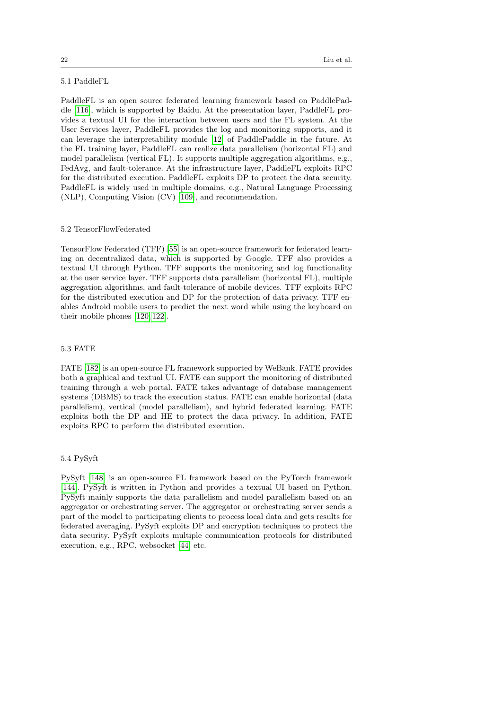PaddleFL is an open source federated learning framework based on PaddlePaddle [\[116\]](#page-30-17), which is supported by Baidu. At the presentation layer, PaddleFL provides a textual UI for the interaction between users and the FL system. At the User Services layer, PaddleFL provides the log and monitoring supports, and it can leverage the interpretability module [\[12\]](#page-25-13) of PaddlePaddle in the future. At the FL training layer, PaddleFL can realize data parallelism (horizontal FL) and model parallelism (vertical FL). It supports multiple aggregation algorithms, e.g., FedAvg, and fault-tolerance. At the infrastructure layer, PaddleFL exploits RPC for the distributed execution. PaddleFL exploits DP to protect the data security. PaddleFL is widely used in multiple domains, e.g., Natural Language Processing (NLP), Computing Vision (CV) [\[109\]](#page-30-3), and recommendation.

#### 5.2 TensorFlowFederated

TensorFlow Federated (TFF) [\[55\]](#page-27-1) is an open-source framework for federated learning on decentralized data, which is supported by Google. TFF also provides a textual UI through Python. TFF supports the monitoring and log functionality at the user service layer. TFF supports data parallelism (horizontal FL), multiple aggregation algorithms, and fault-tolerance of mobile devices. TFF exploits RPC for the distributed execution and DP for the protection of data privacy. TFF enables Android mobile users to predict the next word while using the keyboard on their mobile phones [\[120,](#page-30-2) [122\]](#page-31-17).

## 5.3 FATE

FATE [\[182\]](#page-33-0) is an open-source FL framework supported by WeBank. FATE provides both a graphical and textual UI. FATE can support the monitoring of distributed training through a web portal. FATE takes advantage of database management systems (DBMS) to track the execution status. FATE can enable horizontal (data parallelism), vertical (model parallelism), and hybrid federated learning. FATE exploits both the DP and HE to protect the data privacy. In addition, FATE exploits RPC to perform the distributed execution.

## 5.4 PySyft

PySyft [\[148\]](#page-32-5) is an open-source FL framework based on the PyTorch framework [\[144\]](#page-32-18). PySyft is written in Python and provides a textual UI based on Python. PySyft mainly supports the data parallelism and model parallelism based on an aggregator or orchestrating server. The aggregator or orchestrating server sends a part of the model to participating clients to process local data and gets results for federated averaging. PySyft exploits DP and encryption techniques to protect the data security. PySyft exploits multiple communication protocols for distributed execution, e.g., RPC, websocket [\[44\]](#page-27-24) etc.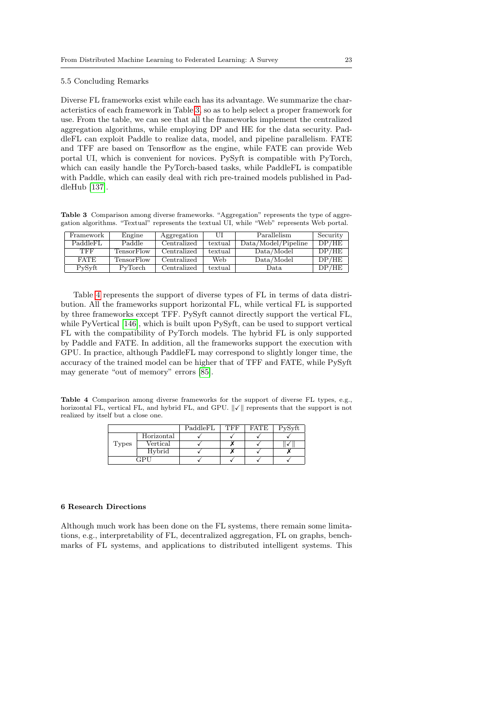#### 5.5 Concluding Remarks

Diverse FL frameworks exist while each has its advantage. We summarize the characteristics of each framework in Table [3,](#page-22-1) so as to help select a proper framework for use. From the table, we can see that all the frameworks implement the centralized aggregation algorithms, while employing DP and HE for the data security. PaddleFL can exploit Paddle to realize data, model, and pipeline parallelism. FATE and TFF are based on Tensorflow as the engine, while FATE can provide Web portal UI, which is convenient for novices. PySyft is compatible with PyTorch, which can easily handle the PyTorch-based tasks, while PaddleFL is compatible with Paddle, which can easily deal with rich pre-trained models published in PaddleHub [\[137\]](#page-31-18).

<span id="page-22-1"></span>Table 3 Comparison among diverse frameworks. "Aggregation" represents the type of aggregation algorithms. "Textual" represents the textual UI, while "Web" represents Web portal.

| Framework | Engine     | Aggregation | U       | Parallelism         | Security |
|-----------|------------|-------------|---------|---------------------|----------|
| PaddleFL  | Paddle     | Centralized | textual | Data/Model/Pipeline | DP/HE    |
| TFF       | TensorFlow | Centralized | textual | Data/Model          | DP/HE    |
| FATE.     | TensorFlow | Centralized | Web     | Data/Model          | DP/HE    |
| PySyft    | PyTorch    | Centralized | textual | Data.               | DP/HE    |

Table [4](#page-22-2) represents the support of diverse types of FL in terms of data distribution. All the frameworks support horizontal FL, while vertical FL is supported by three frameworks except TFF. PySyft cannot directly support the vertical FL, while PyVertical [\[146\]](#page-32-19), which is built upon PySyft, can be used to support vertical FL with the compatibility of PyTorch models. The hybrid FL is only supported by Paddle and FATE. In addition, all the frameworks support the execution with GPU. In practice, although PaddleFL may correspond to slightly longer time, the accuracy of the trained model can be higher that of TFF and FATE, while PySyft may generate "out of memory" errors [\[85\]](#page-29-19).

<span id="page-22-2"></span>Table 4 Comparison among diverse frameworks for the support of diverse FL types, e.g., horizontal FL, vertical FL, and hybrid FL, and GPU.  $\|\checkmark\|$  represents that the support is not realized by itself but a close one.

|       |            | PaddleFL | TFF | <b>FATE</b> | vSvft |
|-------|------------|----------|-----|-------------|-------|
| Types | Horizontal |          |     |             |       |
|       | Vertical   |          |     |             |       |
|       | Hybrid     |          |     |             |       |
|       |            |          |     |             |       |

#### <span id="page-22-0"></span>6 Research Directions

Although much work has been done on the FL systems, there remain some limitations, e.g., interpretability of FL, decentralized aggregation, FL on graphs, benchmarks of FL systems, and applications to distributed intelligent systems. This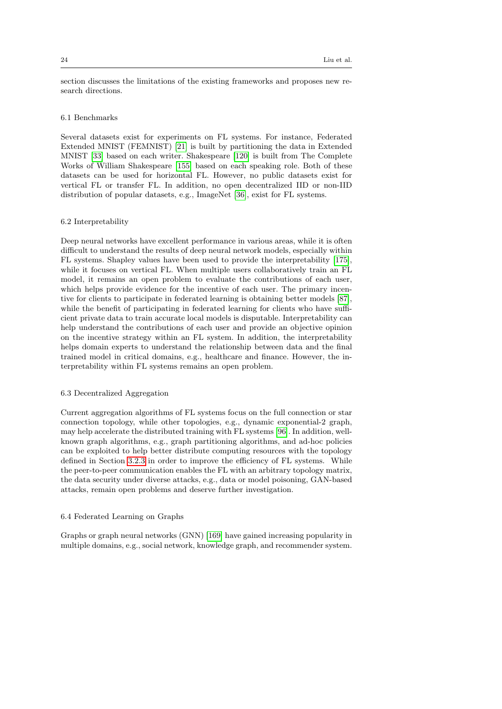section discusses the limitations of the existing frameworks and proposes new research directions.

## 6.1 Benchmarks

Several datasets exist for experiments on FL systems. For instance, Federated Extended MNIST (FEMNIST) [\[21\]](#page-26-18) is built by partitioning the data in Extended MNIST [\[33\]](#page-26-19) based on each writer. Shakespeare [\[120\]](#page-30-2) is built from The Complete Works of William Shakespeare [\[155\]](#page-32-20) based on each speaking role. Both of these datasets can be used for horizontal FL. However, no public datasets exist for vertical FL or transfer FL. In addition, no open decentralized IID or non-IID distribution of popular datasets, e.g., ImageNet [\[36\]](#page-26-20), exist for FL systems.

#### 6.2 Interpretability

Deep neural networks have excellent performance in various areas, while it is often difficult to understand the results of deep neural network models, especially within FL systems. Shapley values have been used to provide the interpretability [\[175\]](#page-33-3), while it focuses on vertical FL. When multiple users collaboratively train an FL model, it remains an open problem to evaluate the contributions of each user, which helps provide evidence for the incentive of each user. The primary incentive for clients to participate in federated learning is obtaining better models [\[87\]](#page-29-3), while the benefit of participating in federated learning for clients who have sufficient private data to train accurate local models is disputable. Interpretability can help understand the contributions of each user and provide an objective opinion on the incentive strategy within an FL system. In addition, the interpretability helps domain experts to understand the relationship between data and the final trained model in critical domains, e.g., healthcare and finance. However, the interpretability within FL systems remains an open problem.

#### 6.3 Decentralized Aggregation

Current aggregation algorithms of FL systems focus on the full connection or star connection topology, while other topologies, e.g., dynamic exponential-2 graph, may help accelerate the distributed training with FL systems [\[96\]](#page-29-11). In addition, wellknown graph algorithms, e.g., graph partitioning algorithms, and ad-hoc policies can be exploited to help better distribute computing resources with the topology defined in Section [3.2.3](#page-15-0) in order to improve the efficiency of FL systems. While the peer-to-peer communication enables the FL with an arbitrary topology matrix, the data security under diverse attacks, e.g., data or model poisoning, GAN-based attacks, remain open problems and deserve further investigation.

#### 6.4 Federated Learning on Graphs

Graphs or graph neural networks (GNN) [\[169\]](#page-33-16) have gained increasing popularity in multiple domains, e.g., social network, knowledge graph, and recommender system.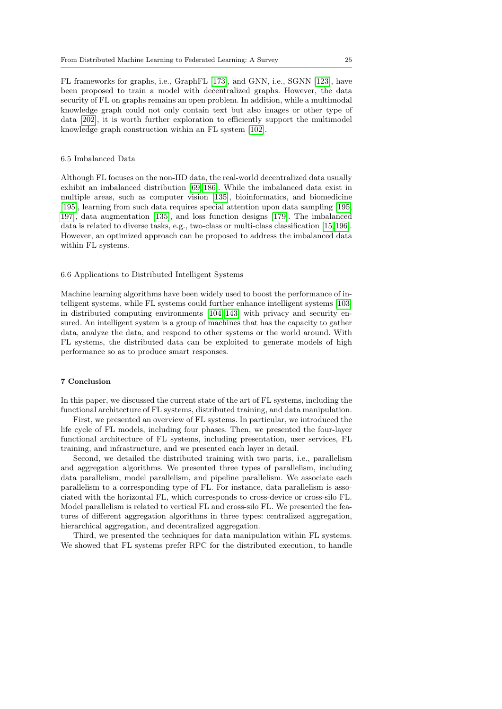FL frameworks for graphs, i.e., GraphFL [\[173\]](#page-33-17), and GNN, i.e., SGNN [\[123\]](#page-31-19), have been proposed to train a model with decentralized graphs. However, the data security of FL on graphs remains an open problem. In addition, while a multimodal knowledge graph could not only contain text but also images or other type of data [\[202\]](#page-34-4), it is worth further exploration to efficiently support the multimodel knowledge graph construction within an FL system [\[102\]](#page-30-6).

### 6.5 Imbalanced Data

Although FL focuses on the non-IID data, the real-world decentralized data usually exhibit an imbalanced distribution [\[69,](#page-28-18) [186\]](#page-34-18). While the imbalanced data exist in multiple areas, such as computer vision [\[135\]](#page-31-20), bioinformatics, and biomedicine [\[195\]](#page-34-19), learning from such data requires special attention upon data sampling [\[195,](#page-34-19) [197\]](#page-34-20), data augmentation [\[135\]](#page-31-20), and loss function designs [\[179\]](#page-33-18). The imbalanced data is related to diverse tasks, e.g., two-class or multi-class classification [\[15,](#page-25-14)[196\]](#page-34-21). However, an optimized approach can be proposed to address the imbalanced data within FL systems.

## 6.6 Applications to Distributed Intelligent Systems

Machine learning algorithms have been widely used to boost the performance of intelligent systems, while FL systems could further enhance intelligent systems [\[103\]](#page-30-18) in distributed computing environments [\[104,](#page-30-19) [143\]](#page-32-21) with privacy and security ensured. An intelligent system is a group of machines that has the capacity to gather data, analyze the data, and respond to other systems or the world around. With FL systems, the distributed data can be exploited to generate models of high performance so as to produce smart responses.

## <span id="page-24-0"></span>7 Conclusion

In this paper, we discussed the current state of the art of FL systems, including the functional architecture of FL systems, distributed training, and data manipulation.

First, we presented an overview of FL systems. In particular, we introduced the life cycle of FL models, including four phases. Then, we presented the four-layer functional architecture of FL systems, including presentation, user services, FL training, and infrastructure, and we presented each layer in detail.

Second, we detailed the distributed training with two parts, i.e., parallelism and aggregation algorithms. We presented three types of parallelism, including data parallelism, model parallelism, and pipeline parallelism. We associate each parallelism to a corresponding type of FL. For instance, data parallelism is associated with the horizontal FL, which corresponds to cross-device or cross-silo FL. Model parallelism is related to vertical FL and cross-silo FL. We presented the features of different aggregation algorithms in three types: centralized aggregation, hierarchical aggregation, and decentralized aggregation.

Third, we presented the techniques for data manipulation within FL systems. We showed that FL systems prefer RPC for the distributed execution, to handle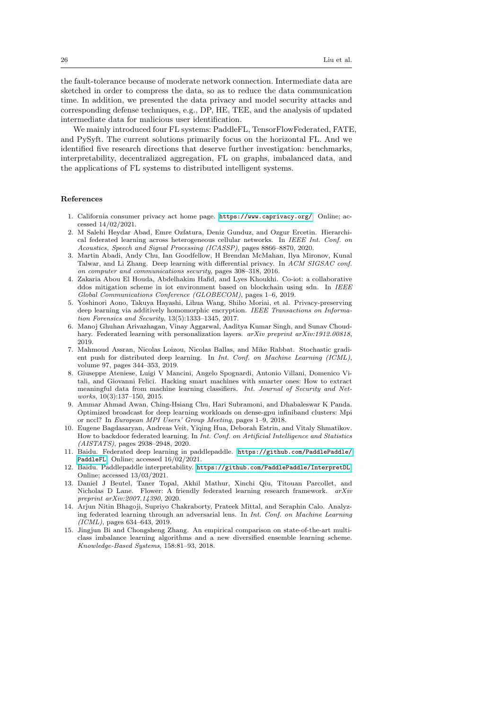the fault-tolerance because of moderate network connection. Intermediate data are sketched in order to compress the data, so as to reduce the data communication time. In addition, we presented the data privacy and model security attacks and corresponding defense techniques, e.g., DP, HE, TEE, and the analysis of updated intermediate data for malicious user identification.

We mainly introduced four FL systems: PaddleFL, TensorFlowFederated, FATE, and PySyft. The current solutions primarily focus on the horizontal FL. And we identified five research directions that deserve further investigation: benchmarks, interpretability, decentralized aggregation, FL on graphs, imbalanced data, and the applications of FL systems to distributed intelligent systems.

## References

- <span id="page-25-1"></span>1. California consumer privacy act home page. <https://www.caprivacy.org/>. Online; accessed 14/02/2021.
- <span id="page-25-6"></span>2. M Salehi Heydar Abad, Emre Ozfatura, Deniz Gunduz, and Ozgur Ercetin. Hierarchical federated learning across heterogeneous cellular networks. In IEEE Int. Conf. on Acoustics, Speech and Signal Processing (ICASSP), pages 8866–8870, 2020.
- <span id="page-25-3"></span>3. Martin Abadi, Andy Chu, Ian Goodfellow, H Brendan McMahan, Ilya Mironov, Kunal Talwar, and Li Zhang. Deep learning with differential privacy. In ACM SIGSAC conf. on computer and communications security, pages 308–318, 2016.
- <span id="page-25-0"></span>4. Zakaria Abou El Houda, Abdelhakim Hafid, and Lyes Khoukhi. Co-iot: a collaborative ddos mitigation scheme in iot environment based on blockchain using sdn. In IEEE Global Communications Conference (GLOBECOM), pages 1–6, 2019.
- <span id="page-25-4"></span>5. Yoshinori Aono, Takuya Hayashi, Lihua Wang, Shiho Moriai, et al. Privacy-preserving deep learning via additively homomorphic encryption. IEEE Transactions on Information Forensics and Security, 13(5):1333–1345, 2017.
- <span id="page-25-5"></span>6. Manoj Ghuhan Arivazhagan, Vinay Aggarwal, Aaditya Kumar Singh, and Sunav Choudhary. Federated learning with personalization layers. arXiv preprint arXiv:1912.00818, 2019.
- <span id="page-25-7"></span>7. Mahmoud Assran, Nicolas Loizou, Nicolas Ballas, and Mike Rabbat. Stochastic gradient push for distributed deep learning. In Int. Conf. on Machine Learning (ICML), volume 97, pages 344–353, 2019.
- <span id="page-25-10"></span>8. Giuseppe Ateniese, Luigi V Mancini, Angelo Spognardi, Antonio Villani, Domenico Vitali, and Giovanni Felici. Hacking smart machines with smarter ones: How to extract meaningful data from machine learning classifiers. Int. Journal of Security and Networks, 10(3):137–150, 2015.
- <span id="page-25-8"></span>9. Ammar Ahmad Awan, Ching-Hsiang Chu, Hari Subramoni, and Dhabaleswar K Panda. Optimized broadcast for deep learning workloads on dense-gpu infiniband clusters: Mpi or nccl? In European MPI Users' Group Meeting, pages 1–9, 2018.
- <span id="page-25-11"></span>10. Eugene Bagdasaryan, Andreas Veit, Yiqing Hua, Deborah Estrin, and Vitaly Shmatikov. How to backdoor federated learning. In Int. Conf. on Artificial Intelligence and Statistics (AISTATS), pages 2938–2948, 2020.
- <span id="page-25-2"></span>11. Baidu. Federated deep learning in paddlepaddle. [https://github.com/PaddlePaddle/](https://github.com/PaddlePaddle/PaddleFL) [PaddleFL](https://github.com/PaddlePaddle/PaddleFL). Online; accessed 16/02/2021.
- <span id="page-25-13"></span>12. Baidu. Paddlepaddle interpretability. <https://github.com/PaddlePaddle/InterpretDL>. Online; accessed 13/03/2021.
- <span id="page-25-9"></span>13. Daniel J Beutel, Taner Topal, Akhil Mathur, Xinchi Qiu, Titouan Parcollet, and Nicholas D Lane. Flower: A friendly federated learning research framework. arXiv preprint arXiv:2007.14390, 2020.
- <span id="page-25-12"></span>14. Arjun Nitin Bhagoji, Supriyo Chakraborty, Prateek Mittal, and Seraphin Calo. Analyzing federated learning through an adversarial lens. In Int. Conf. on Machine Learning (ICML), pages 634–643, 2019.
- <span id="page-25-14"></span>15. Jingjun Bi and Chongsheng Zhang. An empirical comparison on state-of-the-art multiclass imbalance learning algorithms and a new diversified ensemble learning scheme. Knowledge-Based Systems, 158:81–93, 2018.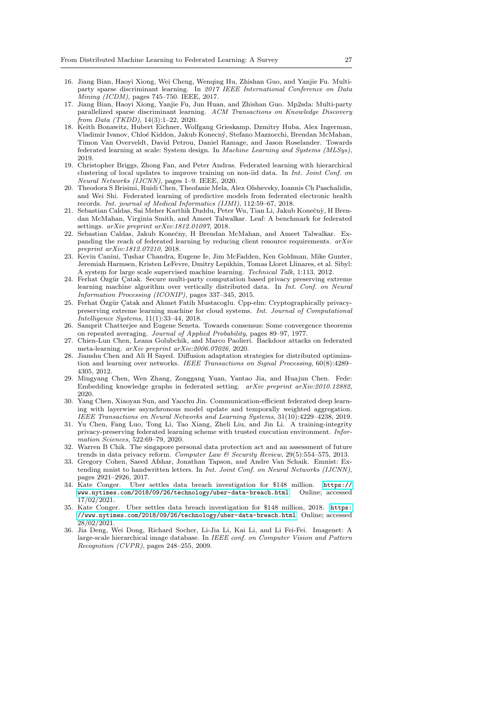- <span id="page-26-8"></span>16. Jiang Bian, Haoyi Xiong, Wei Cheng, Wenqing Hu, Zhishan Guo, and Yanjie Fu. Multiparty sparse discriminant learning. In 2017 IEEE International Conference on Data  $\overline{Mining}$  (ICDM), pages 745–750. IEEE, 2017.
- <span id="page-26-9"></span>17. Jiang Bian, Haoyi Xiong, Yanjie Fu, Jun Huan, and Zhishan Guo. Mp2sda: Multi-party parallelized sparse discriminant learning. ACM Transactions on Knowledge Discovery from Data (TKDD), 14(3):1–22, 2020.
- <span id="page-26-7"></span>18. Keith Bonawitz, Hubert Eichner, Wolfgang Grieskamp, Dzmitry Huba, Alex Ingerman, Vladimir Ivanov, Chlo´e Kiddon, Jakub Konecn´y, Stefano Mazzocchi, Brendan McMahan, Timon Van Overveldt, David Petrou, Daniel Ramage, and Jason Roselander. Towards federated learning at scale: System design. In Machine Learning and Systems (MLSys), 2019.
- <span id="page-26-10"></span>19. Christopher Briggs, Zhong Fan, and Peter Andras. Federated learning with hierarchical clustering of local updates to improve training on non-iid data. In Int. Joint Conf. on Neural Networks (IJCNN), pages 1–9. IEEE, 2020.
- <span id="page-26-1"></span>20. Theodora S Brisimi, Ruidi Chen, Theofanie Mela, Alex Olshevsky, Ioannis Ch Paschalidis, and Wei Shi. Federated learning of predictive models from federated electronic health records. Int. journal of Medical Informatics (IJMI), 112:59–67, 2018.
- <span id="page-26-18"></span>21. Sebastian Caldas, Sai Meher Karthik Duddu, Peter Wu, Tian Li, Jakub Konečný, H Brendan McMahan, Virginia Smith, and Ameet Talwalkar. Leaf: A benchmark for federated settings. arXiv preprint arXiv:1812.01097, 2018.
- <span id="page-26-3"></span>22. Sebastian Caldas, Jakub Konečny, H Brendan McMahan, and Ameet Talwalkar. Expanding the reach of federated learning by reducing client resource requirements.  $arXiv$ preprint arXiv:1812.07210, 2018.
- <span id="page-26-4"></span>23. Kevin Canini, Tushar Chandra, Eugene Ie, Jim McFadden, Ken Goldman, Mike Gunter, Jeremiah Harmsen, Kristen LeFevre, Dmitry Lepikhin, Tomas Lloret Llinares, et al. Sibyl: A system for large scale supervised machine learning. Technical Talk, 1:113, 2012.
- <span id="page-26-15"></span>24. Ferhat Özgür Çatak. Secure multi-party computation based privacy preserving extreme learning machine algorithm over vertically distributed data. In Int. Conf. on Neural Information Processing (ICONIP), pages 337–345, 2015.
- <span id="page-26-16"></span>25. Ferhat Özgür Catak and Ahmet Fatih Mustacoglu. Cpp-elm: Cryptographically privacypreserving extreme learning machine for cloud systems. Int. Journal of Computational Intelligence Systems, 11(1):33–44, 2018.
- <span id="page-26-11"></span>26. Samprit Chatterjee and Eugene Seneta. Towards consensus: Some convergence theorems on repeated averaging. Journal of Applied Probability, pages 89–97, 1977.
- <span id="page-26-17"></span>27. Chien-Lun Chen, Leana Golubchik, and Marco Paolieri. Backdoor attacks on federated meta-learning. arXiv preprint arXiv:2006.07026, 2020.
- <span id="page-26-12"></span>28. Jianshu Chen and Ali H Sayed. Diffusion adaptation strategies for distributed optimization and learning over networks. IEEE Transactions on Signal Processing, 60(8):4289– 4305, 2012.
- <span id="page-26-6"></span>29. Mingyang Chen, Wen Zhang, Zonggang Yuan, Yantao Jia, and Huajun Chen. Fede: Embedding knowledge graphs in federated setting. arXiv preprint arXiv:2010.12882, 2020.
- <span id="page-26-2"></span>30. Yang Chen, Xiaoyan Sun, and Yaochu Jin. Communication-efficient federated deep learning with layerwise asynchronous model update and temporally weighted aggregation. IEEE Transactions on Neural Networks and Learning Systems, 31(10):4229–4238, 2019.
- <span id="page-26-14"></span>31. Yu Chen, Fang Luo, Tong Li, Tao Xiang, Zheli Liu, and Jin Li. A training-integrity privacy-preserving federated learning scheme with trusted execution environment. Information Sciences, 522:69–79, 2020.
- <span id="page-26-0"></span>32. Warren B Chik. The singapore personal data protection act and an assessment of future trends in data privacy reform. Computer Law & Security Review, 29(5):554–575, 2013.
- <span id="page-26-19"></span>33. Gregory Cohen, Saeed Afshar, Jonathan Tapson, and Andre Van Schaik. Emnist: Extending mnist to handwritten letters. In Int. Joint Conf. on Neural Networks (IJCNN), pages 2921–2926, 2017.
- <span id="page-26-13"></span>34. Kate Conger. Uber settles data breach investigation for \$148 million. [https://](https://www.nytimes.com/2018/09/26/technology/uber-data-breach.html) [www.nytimes.com/2018/09/26/technology/uber-data-breach.html](https://www.nytimes.com/2018/09/26/technology/uber-data-breach.html). Online; accessed 17/02/2021.
- <span id="page-26-5"></span>35. Kate Conger. Uber settles data breach investigation for \$148 million, 2018. [https:](https://www.nytimes.com/2018/09/26/technology/uber-data-breach.html) [//www.nytimes.com/2018/09/26/technology/uber-data-breach.html](https://www.nytimes.com/2018/09/26/technology/uber-data-breach.html). Online; accessed 28/02/2021.
- <span id="page-26-20"></span>36. Jia Deng, Wei Dong, Richard Socher, Li-Jia Li, Kai Li, and Li Fei-Fei. Imagenet: A large-scale hierarchical image database. In IEEE conf. on Computer Vision and Pattern Recognition (CVPR), pages 248–255, 2009.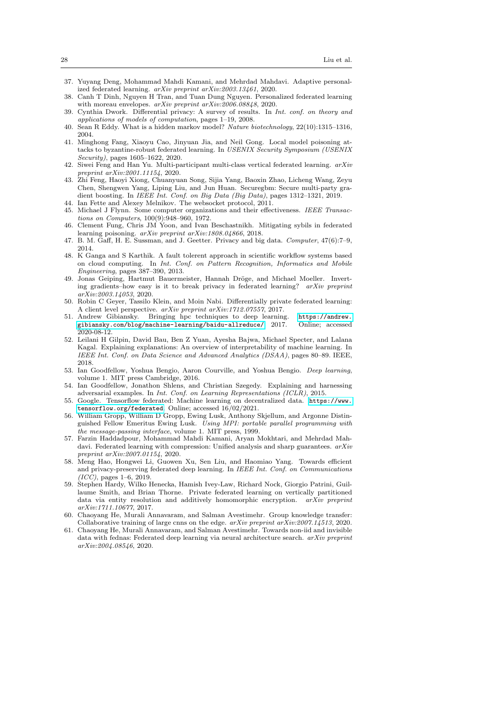- <span id="page-27-11"></span>37. Yuyang Deng, Mohammad Mahdi Kamani, and Mehrdad Mahdavi. Adaptive personalized federated learning. arXiv preprint arXiv:2003.13461, 2020.
- <span id="page-27-12"></span>38. Canh T Dinh, Nguyen H Tran, and Tuan Dung Nguyen. Personalized federated learning with moreau envelopes. arXiv preprint arXiv:2006.08848, 2020.
- <span id="page-27-18"></span>39. Cynthia Dwork. Differential privacy: A survey of results. In Int. conf. on theory and applications of models of computation, pages 1–19, 2008.
- <span id="page-27-23"></span>40. Sean R Eddy. What is a hidden markov model? Nature biotechnology, 22(10):1315–1316, 2004.
- <span id="page-27-22"></span>41. Minghong Fang, Xiaoyu Cao, Jinyuan Jia, and Neil Gong. Local model poisoning attacks to byzantine-robust federated learning. In USENIX Security Symposium (USENIX Security), pages 1605–1622, 2020.
- <span id="page-27-10"></span>42. Siwei Feng and Han Yu. Multi-participant multi-class vertical federated learning. arXiv preprint arXiv:2001.11154, 2020.
- <span id="page-27-9"></span>43. Zhi Feng, Haoyi Xiong, Chuanyuan Song, Sijia Yang, Baoxin Zhao, Licheng Wang, Zeyu Chen, Shengwen Yang, Liping Liu, and Jun Huan. Securegbm: Secure multi-party gradient boosting. In IEEE Int. Conf. on Big Data (Big Data), pages 1312-1321, 2019. Ian Fette and Alexey Melnikov. The websocket protocol, 2011.
- <span id="page-27-24"></span><span id="page-27-6"></span>45. Michael J Flynn. Some computer organizations and their effectiveness. IEEE Transactions on Computers, 100(9):948–960, 1972.
- <span id="page-27-21"></span>46. Clement Fung, Chris JM Yoon, and Ivan Beschastnikh. Mitigating sybils in federated learning poisoning. arXiv preprint arXiv:1808.04866, 2018.
- <span id="page-27-0"></span>47. B. M. Gaff, H. E. Sussman, and J. Geetter. Privacy and big data. Computer, 47(6):7–9, 2014.
- <span id="page-27-8"></span>48. K Ganga and S Karthik. A fault tolerent approach in scientific workflow systems based on cloud computing. In Int. Conf. on Pattern Recognition, Informatics and Mobile Engineering, pages 387–390, 2013.
- <span id="page-27-3"></span>49. Jonas Geiping, Hartmut Bauermeister, Hannah Dröge, and Michael Moeller. Inverting gradients–how easy is it to break privacy in federated learning?  $arXiv$  preprint arXiv:2003.14053, 2020.
- <span id="page-27-19"></span>50. Robin C Geyer, Tassilo Klein, and Moin Nabi. Differentially private federated learning: A client level perspective. arXiv preprint arXiv:1712.07557, 2017.
- <span id="page-27-15"></span>51. Andrew Gibiansky. Bringing hpc techniques to deep learning. [https://andrew.](https://andrew.gibiansky.com/blog/machine-learning/baidu-allreduce/) [gibiansky.com/blog/machine-learning/baidu-allreduce/](https://andrew.gibiansky.com/blog/machine-learning/baidu-allreduce/), 2017. Online; accessed 2020-08-12.
- <span id="page-27-7"></span>52. Leilani H Gilpin, David Bau, Ben Z Yuan, Ayesha Bajwa, Michael Specter, and Lalana Kagal. Explaining explanations: An overview of interpretability of machine learning. In IEEE Int. Conf. on Data Science and Advanced Analytics (DSAA), pages 80–89. IEEE, 2018.
- <span id="page-27-4"></span>53. Ian Goodfellow, Yoshua Bengio, Aaron Courville, and Yoshua Bengio. Deep learning, volume 1. MIT press Cambridge, 2016.
- <span id="page-27-20"></span>54. Ian Goodfellow, Jonathon Shlens, and Christian Szegedy. Explaining and harnessing adversarial examples. In Int. Conf. on Learning Representations (ICLR), 2015.
- <span id="page-27-1"></span>55. Google. Tensorflow federated: Machine learning on decentralized data. [https://www.](https://www.tensorflow.org/federated) [tensorflow.org/federated](https://www.tensorflow.org/federated). Online; accessed 16/02/2021.
- <span id="page-27-14"></span>56. William Gropp, William D Gropp, Ewing Lusk, Anthony Skjellum, and Argonne Distinguished Fellow Emeritus Ewing Lusk. Using MPI: portable parallel programming with the message-passing interface, volume 1. MIT press, 1999.
- <span id="page-27-16"></span>57. Farzin Haddadpour, Mohammad Mahdi Kamani, Aryan Mokhtari, and Mehrdad Mahdavi. Federated learning with compression: Unified analysis and sharp guarantees.  $arXiv$ preprint arXiv:2007.01154, 2020.
- <span id="page-27-17"></span>58. Meng Hao, Hongwei Li, Guowen Xu, Sen Liu, and Haomiao Yang. Towards efficient and privacy-preserving federated deep learning. In IEEE Int. Conf. on Communications  $(ICC)$ , pages 1–6, 2019.
- <span id="page-27-2"></span>59. Stephen Hardy, Wilko Henecka, Hamish Ivey-Law, Richard Nock, Giorgio Patrini, Guillaume Smith, and Brian Thorne. Private federated learning on vertically partitioned data via entity resolution and additively homomorphic encryption. arXiv preprint arXiv:1711.10677, 2017.
- <span id="page-27-13"></span>60. Chaoyang He, Murali Annavaram, and Salman Avestimehr. Group knowledge transfer: Collaborative training of large cnns on the edge.  $arXiv$  preprint  $arXiv:2007.14513$ , 2020.
- <span id="page-27-5"></span>61. Chaoyang He, Murali Annavaram, and Salman Avestimehr. Towards non-iid and invisible data with fednas: Federated deep learning via neural architecture search. arXiv preprint arXiv:2004.08546, 2020.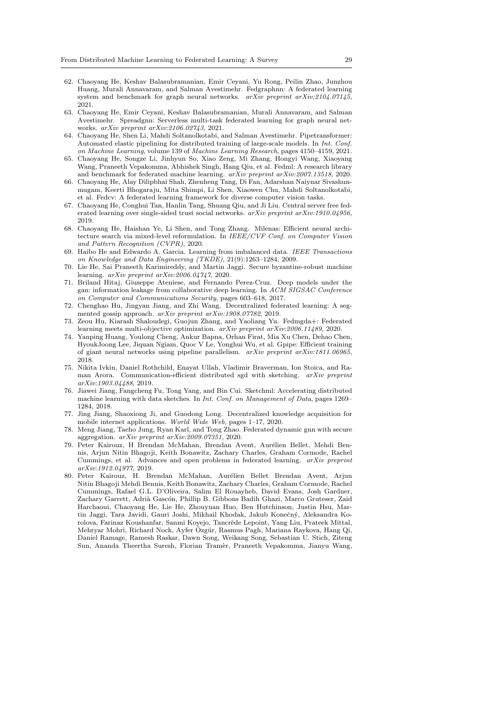- <span id="page-28-9"></span>62. Chaoyang He, Keshav Balasubramanian, Emir Ceyani, Yu Rong, Peilin Zhao, Junzhou Huang, Murali Annavaram, and Salman Avestimehr. Fedgraphnn: A federated learning system and benchmark for graph neural networks.  $arXiv$  preprint  $arXiv:2104.07145$ , 2021.
- <span id="page-28-11"></span>63. Chaoyang He, Emir Ceyani, Keshav Balasubramanian, Murali Annavaram, and Salman Avestimehr. Spreadgnn: Serverless multi-task federated learning for graph neural networks. arXiv preprint arXiv:2106.02743, 2021.
- <span id="page-28-4"></span>64. Chaoyang He, Shen Li, Mahdi Soltanolkotabi, and Salman Avestimehr. Pipetransformer: Automated elastic pipelining for distributed training of large-scale models. In Int. Conf. on Machine Learning, volume 139 of Machine Learning Research, pages 4150–4159, 2021.
- <span id="page-28-7"></span>65. Chaoyang He, Songze Li, Jinhyun So, Xiao Zeng, Mi Zhang, Hongyi Wang, Xiaoyang Wang, Praneeth Vepakomma, Abhishek Singh, Hang Qiu, et al. Fedml: A research library and benchmark for federated machine learning. arXiv preprint arXiv:2007.13518, 2020.
- <span id="page-28-1"></span>66. Chaoyang He, Alay Dilipbhai Shah, Zhenheng Tang, Di Fan, Adarshan Naiynar Sivashunmugam, Keerti Bhogaraju, Mita Shimpi, Li Shen, Xiaowen Chu, Mahdi Soltanolkotabi, et al. Fedcv: A federated learning framework for diverse computer vision tasks.
- <span id="page-28-10"></span>67. Chaoyang He, Conghui Tan, Hanlin Tang, Shuang Qiu, and Ji Liu. Central server free federated learning over single-sided trust social networks.  $arXiv$  preprint  $arXiv:1910.04956$ , 2019.
- <span id="page-28-3"></span>68. Chaoyang He, Haishan Ye, Li Shen, and Tong Zhang. Milenas: Efficient neural architecture search via mixed-level reformulation. In IEEE/CVF Conf. on Computer Vision and Pattern Recognition (CVPR), 2020.
- <span id="page-28-18"></span>69. Haibo He and Edwardo A. Garcia. Learning from imbalanced data. IEEE Transactions on Knowledge and Data Engineering (TKDE), 21(9):1263–1284, 2009.
- <span id="page-28-17"></span>70. Lie He, Sai Praneeth Karimireddy, and Martin Jaggi. Secure byzantine-robust machine learning. arXiv preprint arXiv:2006.04747, 2020.
- <span id="page-28-2"></span>71. Briland Hitaj, Giuseppe Ateniese, and Fernando Perez-Cruz. Deep models under the gan: information leakage from collaborative deep learning. In ACM SIGSAC Conference on Computer and Communications Security, pages 603–618, 2017.
- <span id="page-28-14"></span>72. Chenghao Hu, Jingyan Jiang, and Zhi Wang. Decentralized federated learning: A segmented gossip approach. arXiv preprint arXiv:1908.07782, 2019.
- <span id="page-28-12"></span>73. Zeou Hu, Kiarash Shaloudegi, Guojun Zhang, and Yaoliang Yu. Fedmgda+: Federated learning meets multi-objective optimization. arXiv preprint arXiv:2006.11489, 2020.
- <span id="page-28-5"></span>74. Yanping Huang, Youlong Cheng, Ankur Bapna, Orhan Firat, Mia Xu Chen, Dehao Chen, HyoukJoong Lee, Jiquan Ngiam, Quoc V Le, Yonghui Wu, et al. Gpipe: Efficient training of giant neural networks using pipeline parallelism.  $arXiv$  preprint  $arXiv:1811.06965$ , 2018.
- <span id="page-28-15"></span>75. Nikita Ivkin, Daniel Rothchild, Enayat Ullah, Vladimir Braverman, Ion Stoica, and Raman Arora. Communication-efficient distributed sgd with sketching. arXiv preprint arXiv:1903.04488, 2019.
- <span id="page-28-16"></span>76. Jiawei Jiang, Fangcheng Fu, Tong Yang, and Bin Cui. Sketchml: Accelerating distributed machine learning with data sketches. In *Int. Conf. on Management of Data*, pages 1269– 1284, 2018.
- <span id="page-28-13"></span>77. Jing Jiang, Shaoxiong Ji, and Guodong Long. Decentralized knowledge acquisition for mobile internet applications. World Wide Web, pages 1–17, 2020.
- <span id="page-28-8"></span>78. Meng Jiang, Taeho Jung, Ryan Karl, and Tong Zhao. Federated dynamic gnn with secure aggregation. arXiv preprint arXiv:2009.07351, 2020.
- <span id="page-28-0"></span>79. Peter Kairouz, H Brendan McMahan, Brendan Avent, Aurélien Bellet, Mehdi Bennis, Arjun Nitin Bhagoji, Keith Bonawitz, Zachary Charles, Graham Cormode, Rachel Cummings, et al. Advances and open problems in federated learning. arXiv preprint arXiv:1912.04977, 2019.
- <span id="page-28-6"></span>80. Peter Kairouz, H. Brendan McMahan, Aurélien Bellet Brendan Avent, Arjun Nitin Bhagoji Mehdi Bennis, Keith Bonawitz, Zachary Charles, Graham Cormode, Rachel Cummings, Rafael G.L. D'Oliveira, Salim El Rouayheb, David Evans, Josh Gardner, Zachary Garrett, Adrià Gascón, Phillip B. Gibbons Badih Ghazi, Marco Gruteser, Zaid Harchaoui, Chaoyang He, Lie He, Zhouyuan Huo, Ben Hutchinson, Justin Hsu, Martin Jaggi, Tara Javidi, Gauri Joshi, Mikhail Khodak, Jakub Konečný, Aleksandra Korolova, Farinaz Koushanfar, Sanmi Koyejo, Tancrède Lepoint, Yang Liu, Prateek Mittal, Mehryar Mohri, Richard Nock, Ayfer Özgür, Rasmus Pagh, Mariana Raykova, Hang Qi, Daniel Ramage, Ramesh Raskar, Dawn Song, Weikang Song, Sebastian U. Stich, Ziteng Sun, Ananda Theertha Suresh, Florian Tram`er, Praneeth Vepakomma, Jianyu Wang,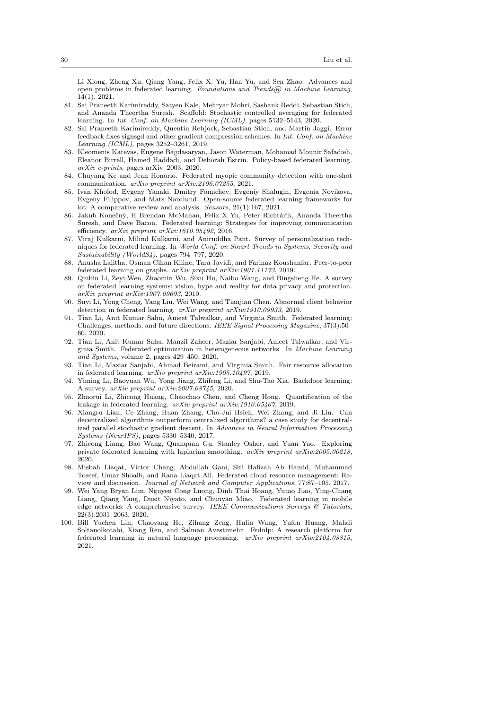Li Xiong, Zheng Xu, Qiang Yang, Felix X. Yu, Han Yu, and Sen Zhao. Advances and open problems in federated learning. Foundations and Trends $\widehat{R}$  in Machine Learning, 14(1), 2021.

- <span id="page-29-9"></span>81. Sai Praneeth Karimireddy, Satyen Kale, Mehryar Mohri, Sashank Reddi, Sebastian Stich, and Ananda Theertha Suresh. Scaffold: Stochastic controlled averaging for federated learning. In Int. Conf. on Machine Learning (ICML), pages 5132–5143, 2020.
- <span id="page-29-13"></span>82. Sai Praneeth Karimireddy, Quentin Rebjock, Sebastian Stich, and Martin Jaggi. Error feedback fixes signsgd and other gradient compression schemes. In Int. Conf. on Machine Learning (ICML), pages 3252–3261, 2019.
- <span id="page-29-15"></span>83. Kleomenis Katevas, Eugene Bagdasaryan, Jason Waterman, Mohamad Mounir Safadieh, Eleanor Birrell, Hamed Haddadi, and Deborah Estrin. Policy-based federated learning. arXiv e-prints, pages arXiv–2003, 2020.
- <span id="page-29-5"></span>84. Chuyang Ke and Jean Honorio. Federated myopic community detection with one-shot communication. arXiv preprint arXiv:2106.07255, 2021.
- <span id="page-29-19"></span>85. Ivan Kholod, Evgeny Yanaki, Dmitry Fomichev, Evgeniy Shalugin, Evgenia Novikova, Evgeny Filippov, and Mats Nordlund. Open-source federated learning frameworks for iot: A comparative review and analysis. Sensors, 21(1):167, 2021.
- <span id="page-29-12"></span>86. Jakub Konečný, H Brendan McMahan, Felix X Yu, Peter Richtárik, Ananda Theertha Suresh, and Dave Bacon. Federated learning: Strategies for improving communication efficiency. arXiv preprint arXiv:1610.05492, 2016.
- <span id="page-29-3"></span>87. Viraj Kulkarni, Milind Kulkarni, and Aniruddha Pant. Survey of personalization techniques for federated learning. In World Conf. on Smart Trends in Systems, Security and Sustainability (WorldS4), pages 794–797, 2020.
- <span id="page-29-10"></span>88. Anusha Lalitha, Osman Cihan Kilinc, Tara Javidi, and Farinaz Koushanfar. Peer-to-peer federated learning on graphs. arXiv preprint arXiv:1901.11173, 2019.
- <span id="page-29-1"></span>89. Qinbin Li, Zeyi Wen, Zhaomin Wu, Sixu Hu, Naibo Wang, and Bingsheng He. A survey on federated learning systems: vision, hype and reality for data privacy and protection. arXiv preprint arXiv:1907.09693, 2019.
- <span id="page-29-18"></span>90. Suyi Li, Yong Cheng, Yang Liu, Wei Wang, and Tianjian Chen. Abnormal client behavior detection in federated learning. arXiv preprint arXiv:1910.09933, 2019.
- <span id="page-29-6"></span>91. Tian Li, Anit Kumar Sahu, Ameet Talwalkar, and Virginia Smith. Federated learning: Challenges, methods, and future directions. IEEE Signal Processing Magazine, 37(3):50– 60, 2020.
- <span id="page-29-8"></span>92. Tian Li, Anit Kumar Sahu, Manzil Zaheer, Maziar Sanjabi, Ameet Talwalkar, and Virginia Smith. Federated optimization in heterogeneous networks. In Machine Learning and Systems, volume 2, pages 429–450, 2020.
- <span id="page-29-7"></span>93. Tian Li, Maziar Sanjabi, Ahmad Beirami, and Virginia Smith. Fair resource allocation in federated learning. arXiv preprint arXiv:1905.10497, 2019.
- <span id="page-29-17"></span>94. Yiming Li, Baoyuan Wu, Yong Jiang, Zhifeng Li, and Shu-Tao Xia. Backdoor learning: A survey. arXiv preprint arXiv:2007.08745, 2020.
- <span id="page-29-14"></span>95. Zhaorui Li, Zhicong Huang, Chaochao Chen, and Cheng Hong. Quantification of the leakage in federated learning. arXiv preprint arXiv:1910.05467, 2019.
- <span id="page-29-11"></span>96. Xiangru Lian, Ce Zhang, Huan Zhang, Cho-Jui Hsieh, Wei Zhang, and Ji Liu. Can decentralized algorithms outperform centralized algorithms? a case study for decentralized parallel stochastic gradient descent. In Advances in Neural Information Processing Systems (NeurIPS), pages 5330–5340, 2017.
- <span id="page-29-16"></span>97. Zhicong Liang, Bao Wang, Quanquan Gu, Stanley Osher, and Yuan Yao. Exploring private federated learning with laplacian smoothing.  $a\overline{x}Xiv$  preprint  $a\overline{x}Xiv:2005.00218$ . 2020.
- <span id="page-29-0"></span>98. Misbah Liaqat, Victor Chang, Abdullah Gani, Siti Hafizah Ab Hamid, Muhammad Toseef, Umar Shoaib, and Rana Liaqat Ali. Federated cloud resource management: Review and discussion. Journal of Network and Computer Applications, 77:87–105, 2017.
- <span id="page-29-2"></span>99. Wei Yang Bryan Lim, Nguyen Cong Luong, Dinh Thai Hoang, Yutao Jiao, Ying-Chang Liang, Qiang Yang, Dusit Niyato, and Chunyan Miao. Federated learning in mobile edge networks: A comprehensive survey. IEEE Communications Surveys  $\mathcal{B}$  Tutorials, 22(3):2031–2063, 2020.
- <span id="page-29-4"></span>100. Bill Yuchen Lin, Chaoyang He, Zihang Zeng, Hulin Wang, Yufen Huang, Mahdi Soltanolkotabi, Xiang Ren, and Salman Avestimehr. Fednlp: A research platform for federated learning in natural language processing. arXiv preprint arXiv:2104.08815, 2021.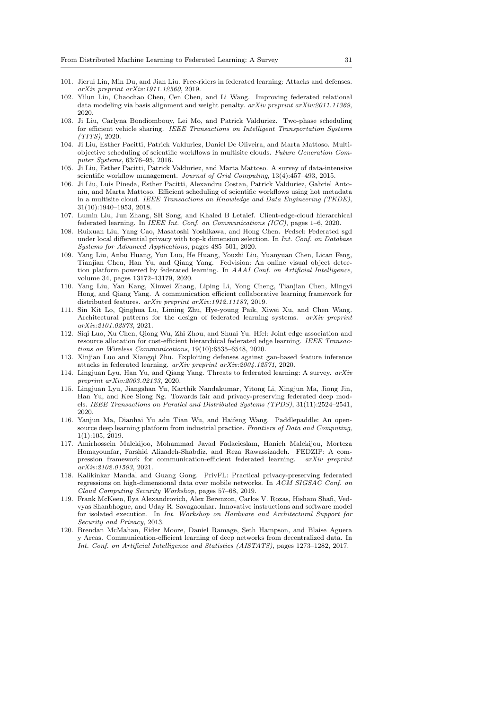- <span id="page-30-16"></span>101. Jierui Lin, Min Du, and Jian Liu. Free-riders in federated learning: Attacks and defenses. arXiv preprint arXiv:1911.12560, 2019.
- <span id="page-30-6"></span>102. Yilun Lin, Chaochao Chen, Cen Chen, and Li Wang. Improving federated relational data modeling via basis alignment and weight penalty.  $arXiv$  preprint  $arXiv:2011.11369$ , 2020.
- <span id="page-30-18"></span>103. Ji Liu, Carlyna Bondiombouy, Lei Mo, and Patrick Valduriez. Two-phase scheduling for efficient vehicle sharing. IEEE Transactions on Intelligent Transportation Systems (TITS), 2020.
- <span id="page-30-19"></span>104. Ji Liu, Esther Pacitti, Patrick Valduriez, Daniel De Oliveira, and Marta Mattoso. Multiobjective scheduling of scientific workflows in multisite clouds. Future Generation Computer Systems, 63:76–95, 2016.
- <span id="page-30-4"></span>105. Ji Liu, Esther Pacitti, Patrick Valduriez, and Marta Mattoso. A survey of data-intensive scientific workflow management. Journal of Grid Computing, 13(4):457–493, 2015.
- <span id="page-30-1"></span>106. Ji Liu, Luis Pineda, Esther Pacitti, Alexandru Costan, Patrick Valduriez, Gabriel Antoniu, and Marta Mattoso. Efficient scheduling of scientific workflows using hot metadata in a multisite cloud. IEEE Transactions on Knowledge and Data Engineering (TKDE), 31(10):1940–1953, 2018.
- <span id="page-30-9"></span>107. Lumin Liu, Jun Zhang, SH Song, and Khaled B Letaief. Client-edge-cloud hierarchical federated learning. In IEEE Int. Conf. on Communications (ICC), pages 1–6, 2020.
- <span id="page-30-14"></span>108. Ruixuan Liu, Yang Cao, Masatoshi Yoshikawa, and Hong Chen. Fedsel: Federated sgd under local differential privacy with top-k dimension selection. In Int. Conf. on Database Systems for Advanced Applications, pages 485–501, 2020.
- <span id="page-30-3"></span>109. Yang Liu, Anbu Huang, Yun Luo, He Huang, Youzhi Liu, Yuanyuan Chen, Lican Feng, Tianjian Chen, Han Yu, and Qiang Yang. Fedvision: An online visual object detection platform powered by federated learning. In AAAI Conf. on Artificial Intelligence, volume 34, pages 13172–13179, 2020.
- <span id="page-30-7"></span>110. Yang Liu, Yan Kang, Xinwei Zhang, Liping Li, Yong Cheng, Tianjian Chen, Mingyi Hong, and Qiang Yang. A communication efficient collaborative learning framework for distributed features. arXiv preprint arXiv:1912.11187, 2019.
- <span id="page-30-5"></span>111. Sin Kit Lo, Qinghua Lu, Liming Zhu, Hye-young Paik, Xiwei Xu, and Chen Wang. Architectural patterns for the design of federated learning systems. arXiv preprint arXiv:2101.02373, 2021.
- <span id="page-30-10"></span>112. Siqi Luo, Xu Chen, Qiong Wu, Zhi Zhou, and Shuai Yu. Hfel: Joint edge association and resource allocation for cost-efficient hierarchical federated edge learning. IEEE Transactions on Wireless Communications, 19(10):6535–6548, 2020.
- <span id="page-30-15"></span>113. Xinjian Luo and Xiangqi Zhu. Exploiting defenses against gan-based feature inference attacks in federated learning. arXiv preprint arXiv:2004.12571, 2020.
- <span id="page-30-0"></span>114. Lingjuan Lyu, Han Yu, and Qiang Yang. Threats to federated learning: A survey. arXiv preprint arXiv:2003.02133, 2020.
- <span id="page-30-8"></span>115. Lingjuan Lyu, Jiangshan Yu, Karthik Nandakumar, Yitong Li, Xingjun Ma, Jiong Jin, Han Yu, and Kee Siong Ng. Towards fair and privacy-preserving federated deep models. IEEE Transactions on Parallel and Distributed Systems (TPDS), 31(11):2524–2541, 2020.
- <span id="page-30-17"></span>116. Yanjun Ma, Dianhai Yu adn Tian Wu, and Haifeng Wang. Paddlepaddle: An opensource deep learning platform from industrial practice. Frontiers of Data and Computing, 1(1):105, 2019.
- <span id="page-30-11"></span>117. Amirhossein Malekijoo, Mohammad Javad Fadaeieslam, Hanieh Malekijou, Morteza Homayounfar, Farshid Alizadeh-Shabdiz, and Reza Rawassizadeh. FEDZIP: A compression framework for communication-efficient federated learning. arXiv preprint arXiv:2102.01593, 2021.
- <span id="page-30-13"></span>118. Kalikinkar Mandal and Guang Gong. PrivFL: Practical privacy-preserving federated regressions on high-dimensional data over mobile networks. In ACM SIGSAC Conf. on Cloud Computing Security Workshop, pages 57–68, 2019.
- <span id="page-30-12"></span>119. Frank McKeen, Ilya Alexandrovich, Alex Berenzon, Carlos V. Rozas, Hisham Shafi, Vedvyas Shanbhogue, and Uday R. Savagaonkar. Innovative instructions and software model for isolated execution. In Int. Workshop on Hardware and Architectural Support for Security and Privacy, 2013.
- <span id="page-30-2"></span>120. Brendan McMahan, Eider Moore, Daniel Ramage, Seth Hampson, and Blaise Aguera y Arcas. Communication-efficient learning of deep networks from decentralized data. In Int. Conf. on Artificial Intelligence and Statistics (AISTATS), pages 1273–1282, 2017.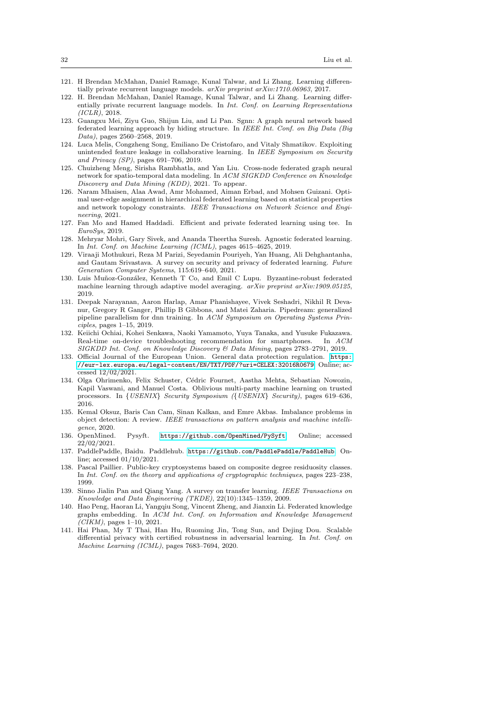- <span id="page-31-4"></span>121. H Brendan McMahan, Daniel Ramage, Kunal Talwar, and Li Zhang. Learning differentially private recurrent language models. arXiv preprint arXiv:1710.06963, 2017.
- <span id="page-31-17"></span>122. H. Brendan McMahan, Daniel Ramage, Kunal Talwar, and Li Zhang. Learning differentially private recurrent language models. In Int. Conf. on Learning Representations (ICLR), 2018.
- <span id="page-31-19"></span>123. Guangxu Mei, Ziyu Guo, Shijun Liu, and Li Pan. Sgnn: A graph neural network based federated learning approach by hiding structure. In IEEE Int. Conf. on Big Data (Big Data), pages 2560–2568, 2019.
- <span id="page-31-16"></span>124. Luca Melis, Congzheng Song, Emiliano De Cristofaro, and Vitaly Shmatikov. Exploiting unintended feature leakage in collaborative learning. In IEEE Symposium on Security and Privacy (SP), pages 691–706, 2019.
- <span id="page-31-6"></span>125. Chuizheng Meng, Sirisha Rambhatla, and Yan Liu. Cross-node federated graph neural network for spatio-temporal data modeling. In  $ACM\,SIGKDD$  Conference on Knowledge Discovery and Data Mining (KDD), 2021. To appear.
- <span id="page-31-10"></span>126. Naram Mhaisen, Alaa Awad, Amr Mohamed, Aiman Erbad, and Mohsen Guizani. Optimal user-edge assignment in hierarchical federated learning based on statistical properties and network topology constraints. IEEE Transactions on Network Science and Engineering, 2021.
- <span id="page-31-13"></span>127. Fan Mo and Hamed Haddadi. Efficient and private federated learning using tee. In EuroSys, 2019.
- <span id="page-31-9"></span>128. Mehryar Mohri, Gary Sivek, and Ananda Theertha Suresh. Agnostic federated learning. In Int. Conf. on Machine Learning (ICML), pages 4615–4625, 2019.
- <span id="page-31-2"></span>129. Viraaji Mothukuri, Reza M Parizi, Seyedamin Pouriyeh, Yan Huang, Ali Dehghantanha, and Gautam Srivastava. A survey on security and privacy of federated learning. Future Generation Computer Systems, 115:619–640, 2021.
- <span id="page-31-11"></span>130. Luis Muñoz-González, Kenneth T Co, and Emil C Lupu. Byzantine-robust federated machine learning through adaptive model averaging.  $arXiv$  preprint  $arXiv:1909.05125$ , 2019.
- <span id="page-31-5"></span>131. Deepak Narayanan, Aaron Harlap, Amar Phanishayee, Vivek Seshadri, Nikhil R Devanur, Gregory R Ganger, Phillip B Gibbons, and Matei Zaharia. Pipedream: generalized pipeline parallelism for dnn training. In ACM Symposium on Operating Systems Principles, pages 1–15, 2019.
- <span id="page-31-0"></span>132. Keiichi Ochiai, Kohei Senkawa, Naoki Yamamoto, Yuya Tanaka, and Yusuke Fukazawa. Real-time on-device troubleshooting recommendation for smartphones. In ACM SIGKDD Int. Conf. on Knowledge Discovery & Data Mining, pages 2783–2791, 2019.
- <span id="page-31-1"></span>133. Official Journal of the European Union. General data protection regulation. [https:](https://eur-lex.europa.eu/legal-content/EN/TXT/PDF/?uri=CELEX:32016R0679) [//eur-lex.europa.eu/legal-content/EN/TXT/PDF/?uri=CELEX:32016R0679](https://eur-lex.europa.eu/legal-content/EN/TXT/PDF/?uri=CELEX:32016R0679). Online; accessed 12/02/2021.
- <span id="page-31-12"></span>134. Olga Ohrimenko, Felix Schuster, Cédric Fournet, Aastha Mehta, Sebastian Nowozin, Kapil Vaswani, and Manuel Costa. Oblivious multi-party machine learning on trusted processors. In {USENIX} Security Symposium ({USENIX} Security), pages 619–636, 2016.
- <span id="page-31-20"></span>135. Kemal Oksuz, Baris Can Cam, Sinan Kalkan, and Emre Akbas. Imbalance problems in object detection: A review. IEEE transactions on pattern analysis and machine intelligence, 2020.
- <span id="page-31-3"></span>136. OpenMined. Pysyft. <https://github.com/OpenMined/PySyft>. Online; accessed 22/02/2021.
- <span id="page-31-18"></span>137. PaddlePaddle, Baidu. Paddlehub. <https://github.com/PaddlePaddle/PaddleHub>. Online; accessed 01/10/2021.
- <span id="page-31-14"></span>138. Pascal Paillier. Public-key cryptosystems based on composite degree residuosity classes. In Int. Conf. on the theory and applications of cryptographic techniques, pages 223–238, 1999.
- <span id="page-31-8"></span>139. Sinno Jialin Pan and Qiang Yang. A survey on transfer learning. IEEE Transactions on Knowledge and Data Engineering (TKDE), 22(10):1345–1359, 2009.
- <span id="page-31-7"></span>140. Hao Peng, Haoran Li, Yangqiu Song, Vincent Zheng, and Jianxin Li. Federated knowledge graphs embedding. In ACM Int. Conf. on Information and Knowledge Management  $(CIKM)$ , pages 1–10, 2021.
- <span id="page-31-15"></span>141. Hai Phan, My T Thai, Han Hu, Ruoming Jin, Tong Sun, and Dejing Dou. Scalable differential privacy with certified robustness in adversarial learning. In Int. Conf. on Machine Learning (ICML), pages 7683–7694, 2020.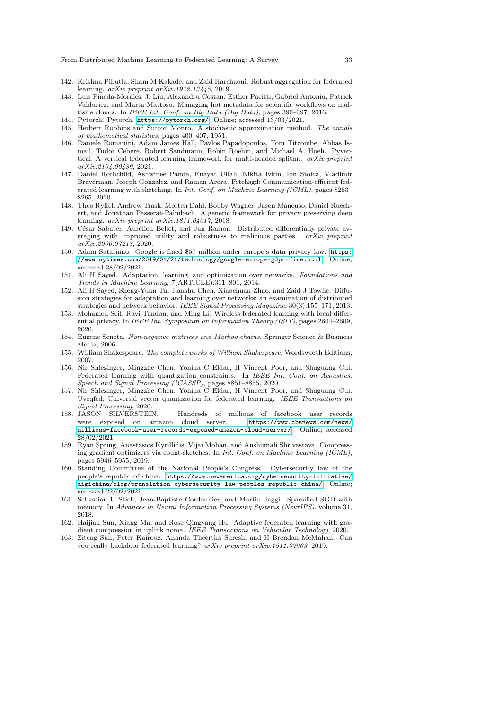- <span id="page-32-1"></span>142. Krishna Pillutla, Sham M Kakade, and Zaid Harchaoui. Robust aggregation for federated learning.  $arXiv$  preprint  $arXiv:1912.13445$ , 2019.
- <span id="page-32-21"></span>143. Luis Pineda-Morales, Ji Liu, Alexandru Costan, Esther Pacitti, Gabriel Antoniu, Patrick Valduriez, and Marta Mattoso. Managing hot metadata for scientific workflows on multisite clouds. In IEEE Int. Conf. on Big Data (Big Data), pages 390–397, 2016.
- <span id="page-32-18"></span>144. Pytorch. Pytorch. <https://pytorch.org/>. Online; accessed 13/03/2021.
- <span id="page-32-4"></span>145. Herbert Robbins and Sutton Monro. A stochastic approximation method. The annals of mathematical statistics, pages 400–407, 1951.
- <span id="page-32-19"></span>146. Daniele Romanini, Adam James Hall, Pavlos Papadopoulos, Tom Titcombe, Abbas Ismail, Tudor Cebere, Robert Sandmann, Robin Roehm, and Michael A. Hoeh. Pyvertical: A vertical federated learning framework for multi-headed splitnn. arXiv preprint arXiv:2104.00489, 2021.
- <span id="page-32-14"></span>147. Daniel Rothchild, Ashwinee Panda, Enayat Ullah, Nikita Ivkin, Ion Stoica, Vladimir Braverman, Joseph Gonzalez, and Raman Arora. Fetchsgd: Communication-efficient federated learning with sketching. In Int. Conf. on Machine Learning (ICML), pages 8253– 8265, 2020.
- <span id="page-32-5"></span>148. Theo Ryffel, Andrew Trask, Morten Dahl, Bobby Wagner, Jason Mancuso, Daniel Rueckert, and Jonathan Passerat-Palmbach. A generic framework for privacy preserving deep learning. arXiv preprint arXiv:1811.04017, 2018.
- <span id="page-32-15"></span>149. César Sabater, Aurélien Bellet, and Jan Ramon. Distributed differentially private averaging with improved utility and robustness to malicious parties.  $arXiv$  preprint arXiv:2006.07218, 2020.
- <span id="page-32-2"></span>150. Adam Satariano. Google is fined \$57 million under europe's data privacy law. [https:](https://www.nytimes.com/2019/01/21/technology/google-europe-gdpr-fine.html) [//www.nytimes.com/2019/01/21/technology/google-europe-gdpr-fine.html](https://www.nytimes.com/2019/01/21/technology/google-europe-gdpr-fine.html). Online; accessed 28/02/2021.
- <span id="page-32-7"></span>151. Ali H Sayed. Adaptation, learning, and optimization over networks. Foundations and Trends in Machine Learning, 7(ARTICLE):311–801, 2014.
- <span id="page-32-9"></span>152. Ali H Sayed, Sheng-Yuan Tu, Jianshu Chen, Xiaochuan Zhao, and Zaid J Towfic. Diffusion strategies for adaptation and learning over networks: an examination of distributed strategies and network behavior. IEEE Signal Processing Magazine, 30(3):155–171, 2013.
- <span id="page-32-16"></span>153. Mohamed Seif, Ravi Tandon, and Ming Li. Wireless federated learning with local differential privacy. In IEEE Int. Symposium on Information Theory (ISIT), pages 2604–2609, 2020.
- <span id="page-32-8"></span>154. Eugene Seneta. Non-negative matrices and Markov chains. Springer Science & Business Media, 2006.
- <span id="page-32-20"></span>155. William Shakespeare. The complete works of William Shakespeare. Wordsworth Editions, 2007.
- <span id="page-32-11"></span>156. Nir Shlezinger, Mingzhe Chen, Yonina C Eldar, H Vincent Poor, and Shuguang Cui. Federated learning with quantization constraints. In IEEE Int. Conf. on Acoustics, Speech and Signal Processing (ICASSP), pages 8851-8855, 2020.
- <span id="page-32-12"></span>157. Nir Shlezinger, Mingzhe Chen, Yonina C Eldar, H Vincent Poor, and Shuguang Cui. Uveqfed: Universal vector quantization for federated learning. IEEE Transactions on Signal Processing, 2020.<br>158. JASON SILVERSTEIN.
- <span id="page-32-3"></span>Hundreds of millions of facebook user records were exposed on amazon cloud server. [https://www.cbsnews.com/news/](https://www.cbsnews.com/news/millions-facebook-user-records-exposed-amazon-cloud-server/) [millions-facebook-user-records-exposed-amazon-cloud-server/](https://www.cbsnews.com/news/millions-facebook-user-records-exposed-amazon-cloud-server/). Online; accessed 28/02/2021.
- <span id="page-32-10"></span>159. Ryan Spring, Anastasios Kyrillidis, Vijai Mohan, and Anshumali Shrivastava. Compressing gradient optimizers via count-sketches. In Int. Conf. on Machine Learning (ICML), pages 5946–5955, 2019.
- <span id="page-32-0"></span>160. Standing Committee of the National People's Congress. Cybersecurity law of the people's republic of china. [https://www.newamerica.org/cybersecurity-initiative/](https://www.newamerica.org/cybersecurity-initiative/digichina/blog/translation-cybersecurity-law-peoples-republic-china/) [digichina/blog/translation-cybersecurity-law-peoples-republic-china/](https://www.newamerica.org/cybersecurity-initiative/digichina/blog/translation-cybersecurity-law-peoples-republic-china/). Online; accessed 22/02/2021.
- <span id="page-32-6"></span>161. Sebastian U Stich, Jean-Baptiste Cordonnier, and Martin Jaggi. Sparsified SGD with memory. In Advances in Neural Information Processing Systems (NeurIPS), volume 31, 2018.
- <span id="page-32-13"></span>162. Haijian Sun, Xiang Ma, and Rose Qingyang Hu. Adaptive federated learning with gradient compression in uplink noma. IEEE Transactions on Vehicular Technology, 2020.
- <span id="page-32-17"></span>163. Ziteng Sun, Peter Kairouz, Ananda Theertha Suresh, and H Brendan McMahan. Can you really backdoor federated learning? arXiv preprint arXiv:1911.07963, 2019.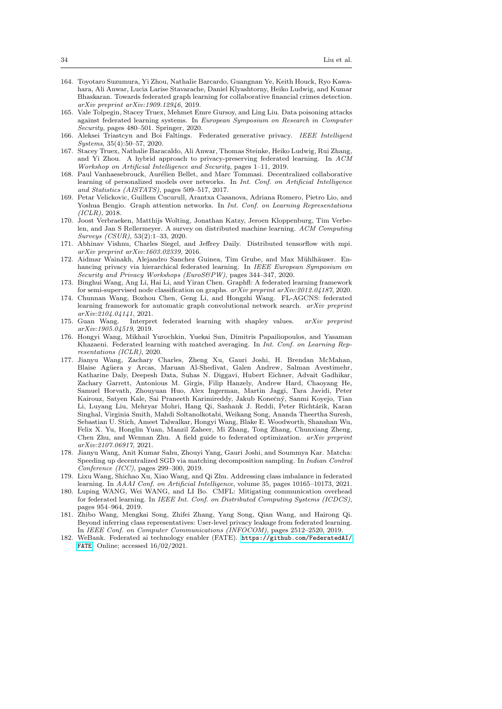- <span id="page-33-4"></span>164. Toyotaro Suzumura, Yi Zhou, Nathalie Barcardo, Guangnan Ye, Keith Houck, Ryo Kawahara, Ali Anwar, Lucia Larise Stavarache, Daniel Klyashtorny, Heiko Ludwig, and Kumar Bhaskaran. Towards federated graph learning for collaborative financial crimes detection. arXiv preprint arXiv:1909.12946, 2019.
- <span id="page-33-15"></span>165. Vale Tolpegin, Stacey Truex, Mehmet Emre Gursoy, and Ling Liu. Data poisoning attacks against federated learning systems. In European Symposium on Research in Computer Security, pages 480–501. Springer, 2020.
- <span id="page-33-13"></span>166. Aleksei Triastcyn and Boi Faltings. Federated generative privacy. IEEE Intelligent Systems, 35(4):50–57, 2020.
- <span id="page-33-14"></span>167. Stacey Truex, Nathalie Baracaldo, Ali Anwar, Thomas Steinke, Heiko Ludwig, Rui Zhang, and Yi Zhou. A hybrid approach to privacy-preserving federated learning. In ACM Workshop on Artificial Intelligence and Security, pages 1–11, 2019.
- <span id="page-33-10"></span>168. Paul Vanhaesebrouck, Aurélien Bellet, and Marc Tommasi. Decentralized collaborative learning of personalized models over networks. In *Int. Conf. on Artificial Intelligence* and Statistics (AISTATS), pages 509–517, 2017.
- <span id="page-33-16"></span>169. Petar Velickovic, Guillem Cucurull, Arantxa Casanova, Adriana Romero, Pietro Lio, and Yoshua Bengio. Graph attention networks. In *Int. Conf. on Learning Representations* (ICLR), 2018.
- <span id="page-33-1"></span>170. Joost Verbraeken, Matthijs Wolting, Jonathan Katzy, Jeroen Kloppenburg, Tim Verbelen, and Jan S Rellermeyer. A survey on distributed machine learning. ACM Computing Surveys (CSUR), 53(2):1–33, 2020.
- <span id="page-33-11"></span>171. Abhinav Vishnu, Charles Siegel, and Jeffrey Daily. Distributed tensorflow with mpi. arXiv preprint arXiv:1603.02339, 2016.
- <span id="page-33-8"></span>172. Aidmar Wainakh, Alejandro Sanchez Guinea, Tim Grube, and Max Mühlhäuser. Enhancing privacy via hierarchical federated learning. In IEEE European Symposium on Security and Privacy Workshops (EuroS&PW), pages 344-347, 2020.
- <span id="page-33-17"></span>173. Binghui Wang, Ang Li, Hai Li, and Yiran Chen. Graphfl: A federated learning framework for semi-supervised node classification on graphs. arXiv preprint arXiv:2012.04187, 2020.
- <span id="page-33-5"></span>174. Chunnan Wang, Bozhou Chen, Geng Li, and Hongzhi Wang. FL-AGCNS: federated learning framework for automatic graph convolutional network search. arXiv preprint arXiv:2104.04141, 2021.<br>175. Guan Wang. Interpre
- <span id="page-33-3"></span>Interpret federated learning with shapley values.  $arXiv$  preprint arXiv:1905.04519, 2019.
- <span id="page-33-7"></span>176. Hongyi Wang, Mikhail Yurochkin, Yuekai Sun, Dimitris Papailiopoulos, and Yasaman Khazaeni. Federated learning with matched averaging. In Int. Conf. on Learning Representations (ICLR), 2020.
- <span id="page-33-6"></span>177. Jianyu Wang, Zachary Charles, Zheng Xu, Gauri Joshi, H. Brendan McMahan, Blaise Agüera y Arcas, Maruan Al-Shedivat, Galen Andrew, Salman Avestimehr, Katharine Daly, Deepesh Data, Suhas N. Diggavi, Hubert Eichner, Advait Gadhikar, Zachary Garrett, Antonious M. Girgis, Filip Hanzely, Andrew Hard, Chaoyang He, Samuel Horvath, Zhouyuan Huo, Alex Ingerman, Martin Jaggi, Tara Javidi, Peter Kairouz, Satyen Kale, Sai Praneeth Karimireddy, Jakub Konečný, Sanmi Koyejo, Tian Li, Luyang Liu, Mehryar Mohri, Hang Qi, Sashank J. Reddi, Peter Richtárik, Karan Singhal, Virginia Smith, Mahdi Soltanolkotabi, Weikang Song, Ananda Theertha Suresh, Sebastian U. Stich, Ameet Talwalkar, Hongyi Wang, Blake E. Woodworth, Shanshan Wu, Felix X. Yu, Honglin Yuan, Manzil Zaheer, Mi Zhang, Tong Zhang, Chunxiang Zheng, Chen Zhu, and Wennan Zhu. A field guide to federated optimization. arXiv preprint arXiv:2107.06917, 2021.
- <span id="page-33-9"></span>178. Jianyu Wang, Anit Kumar Sahu, Zhouyi Yang, Gauri Joshi, and Soummya Kar. Matcha: Speeding up decentralized SGD via matching decomposition sampling. In Indian Control Conference (ICC), pages 299–300, 2019.
- <span id="page-33-18"></span>179. Lixu Wang, Shichao Xu, Xiao Wang, and Qi Zhu. Addressing class imbalance in federated learning. In AAAI Conf. on Artificial Intelligence, volume 35, pages 10165–10173, 2021.
- <span id="page-33-12"></span>180. Luping WANG, Wei WANG, and LI Bo. CMFL: Mitigating communication overhead for federated learning. In IEEE Int. Conf. on Distributed Computing Systems (ICDCS), pages 954–964, 2019.
- <span id="page-33-2"></span>181. Zhibo Wang, Mengkai Song, Zhifei Zhang, Yang Song, Qian Wang, and Hairong Qi. Beyond inferring class representatives: User-level privacy leakage from federated learning. In IEEE Conf. on Computer Communications (INFOCOM), pages 2512–2520, 2019.
- <span id="page-33-0"></span>182. WeBank. Federated ai technology enabler (FATE). [https://github.com/FederatedAI/](https://github.com/FederatedAI/FATE) [FATE](https://github.com/FederatedAI/FATE). Online; accessed 16/02/2021.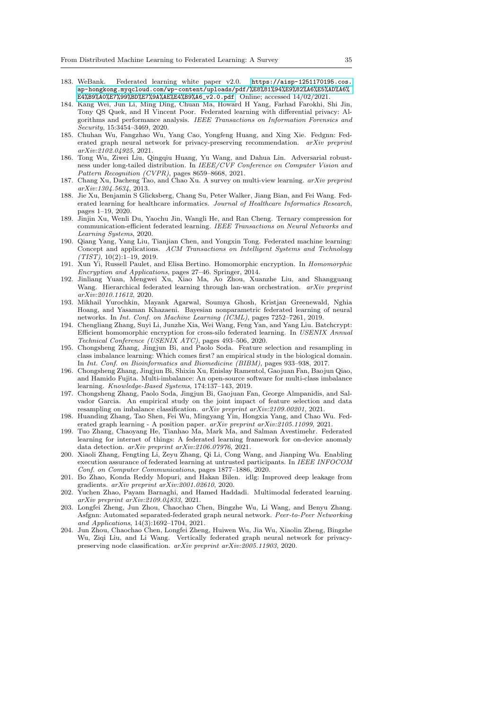- <span id="page-34-1"></span>183. WeBank. Federated learning white paper v2.0. [https://aisp-1251170195.cos.](https://aisp-1251170195.cos.ap-hongkong.myqcloud.com/wp-content/uploads/pdf/%E8%81%94%E9%82%A6%E5%AD%A6%E4%B9%A0%E7%99%BD%E7%9A%AE%E4%B9%A6_v2.0.pdf) [ap-hongkong.myqcloud.com/wp-content/uploads/pdf/%E8%81%94%E9%82%A6%E5%AD%A6%](https://aisp-1251170195.cos.ap-hongkong.myqcloud.com/wp-content/uploads/pdf/%E8%81%94%E9%82%A6%E5%AD%A6%E4%B9%A0%E7%99%BD%E7%9A%AE%E4%B9%A6_v2.0.pdf) [E4%B9%A0%E7%99%BD%E7%9A%AE%E4%B9%A6\\_v2.0.pdf](https://aisp-1251170195.cos.ap-hongkong.myqcloud.com/wp-content/uploads/pdf/%E8%81%94%E9%82%A6%E5%AD%A6%E4%B9%A0%E7%99%BD%E7%9A%AE%E4%B9%A6_v2.0.pdf). Online; accessed 14/02/2021.
- <span id="page-34-17"></span>184. Kang Wei, Jun Li, Ming Ding, Chuan Ma, Howard H Yang, Farhad Farokhi, Shi Jin, Tony QS Quek, and H Vincent Poor. Federated learning with differential privacy: Algorithms and performance analysis. IEEE Transactions on Information Forensics and Security, 15:3454–3469, 2020.
- <span id="page-34-6"></span>185. Chuhan Wu, Fangzhao Wu, Yang Cao, Yongfeng Huang, and Xing Xie. Fedgnn: Federated graph neural network for privacy-preserving recommendation.  $arXiv$  preprint arXiv:2102.04925, 2021.
- <span id="page-34-18"></span>186. Tong Wu, Ziwei Liu, Qingqiu Huang, Yu Wang, and Dahua Lin. Adversarial robustness under long-tailed distribution. In IEEE/CVF Conference on Computer Vision and Pattern Recognition (CVPR), pages 8659–8668, 2021.
- <span id="page-34-9"></span>187. Chang Xu, Dacheng Tao, and Chao Xu. A survey on multi-view learning. arXiv preprint arXiv:1304.5634, 2013.
- <span id="page-34-2"></span>188. Jie Xu, Benjamin S Glicksberg, Chang Su, Peter Walker, Jiang Bian, and Fei Wang. Federated learning for healthcare informatics. Journal of Healthcare Informatics Research, pages 1–19, 2020.
- <span id="page-34-12"></span>189. Jinjin Xu, Wenli Du, Yaochu Jin, Wangli He, and Ran Cheng. Ternary compression for communication-efficient federated learning. IEEE Transactions on Neural Networks and Learning Systems, 2020.
- <span id="page-34-0"></span>190. Qiang Yang, Yang Liu, Tianjian Chen, and Yongxin Tong. Federated machine learning: Concept and applications. ACM Transactions on Intelligent Systems and Technology  $(TIST), 10(2):1-19, 2019.$
- <span id="page-34-15"></span>191. Xun Yi, Russell Paulet, and Elisa Bertino. Homomorphic encryption. In Homomorphic Encryption and Applications, pages 27–46. Springer, 2014.
- <span id="page-34-11"></span>192. Jinliang Yuan, Mengwei Xu, Xiao Ma, Ao Zhou, Xuanzhe Liu, and Shangguang Wang. Hierarchical federated learning through lan-wan orchestration.  $arXiv$  preprint arXiv:2010.11612, 2020.
- <span id="page-34-10"></span>193. Mikhail Yurochkin, Mayank Agarwal, Soumya Ghosh, Kristjan Greenewald, Nghia Hoang, and Yasaman Khazaeni. Bayesian nonparametric federated learning of neural networks. In Int. Conf. on Machine Learning (ICML), pages 7252–7261, 2019.
- <span id="page-34-13"></span>194. Chengliang Zhang, Suyi Li, Junzhe Xia, Wei Wang, Feng Yan, and Yang Liu. Batchcrypt: Efficient homomorphic encryption for cross-silo federated learning. In USENIX Annual Technical Conference (USENIX ATC), pages 493–506, 2020.
- <span id="page-34-19"></span>195. Chongsheng Zhang, Jingjun Bi, and Paolo Soda. Feature selection and resampling in class imbalance learning: Which comes first? an empirical study in the biological domain. In Int. Conf. on Bioinformatics and Biomedicine (BIBM), pages 933–938, 2017.
- <span id="page-34-21"></span>196. Chongsheng Zhang, Jingjun Bi, Shixin Xu, Enislay Ramentol, Gaojuan Fan, Baojun Qiao, and Hamido Fujita. Multi-imbalance: An open-source software for multi-class imbalance learning. Knowledge-Based Systems, 174:137–143, 2019.
- <span id="page-34-20"></span>197. Chongsheng Zhang, Paolo Soda, Jingjun Bi, Gaojuan Fan, George Almpanidis, and Salvador Garcia. An empirical study on the joint impact of feature selection and data resampling on imbalance classification. arXiv preprint arXiv:2109.00201, 2021.
- <span id="page-34-5"></span>198. Huanding Zhang, Tao Shen, Fei Wu, Mingyang Yin, Hongxia Yang, and Chao Wu. Federated graph learning - A position paper. arXiv preprint arXiv:2105.11099, 2021.
- <span id="page-34-3"></span>199. Tuo Zhang, Chaoyang He, Tianhao Ma, Mark Ma, and Salman Avestimehr. Federated learning for internet of things: A federated learning framework for on-device anomaly data detection. arXiv preprint arXiv:2106.07976, 2021.
- <span id="page-34-14"></span>200. Xiaoli Zhang, Fengting Li, Zeyu Zhang, Qi Li, Cong Wang, and Jianping Wu. Enabling execution assurance of federated learning at untrusted participants. In IEEE INFOCOM Conf. on Computer Communications, pages 1877–1886, 2020.
- <span id="page-34-16"></span>201. Bo Zhao, Konda Reddy Mopuri, and Hakan Bilen. idlg: Improved deep leakage from gradients. arXiv preprint arXiv:2001.02610, 2020.
- <span id="page-34-4"></span>202. Yuchen Zhao, Payam Barnaghi, and Hamed Haddadi. Multimodal federated learning. arXiv preprint arXiv:2109.04833, 2021.
- <span id="page-34-7"></span>203. Longfei Zheng, Jun Zhou, Chaochao Chen, Bingzhe Wu, Li Wang, and Benyu Zhang. Asfgnn: Automated separated-federated graph neural network. Peer-to-Peer Networking and Applications, 14(3):1692–1704, 2021.
- <span id="page-34-8"></span>204. Jun Zhou, Chaochao Chen, Longfei Zheng, Huiwen Wu, Jia Wu, Xiaolin Zheng, Bingzhe Wu, Ziqi Liu, and Li Wang. Vertically federated graph neural network for privacypreserving node classification. arXiv preprint arXiv:2005.11903, 2020.